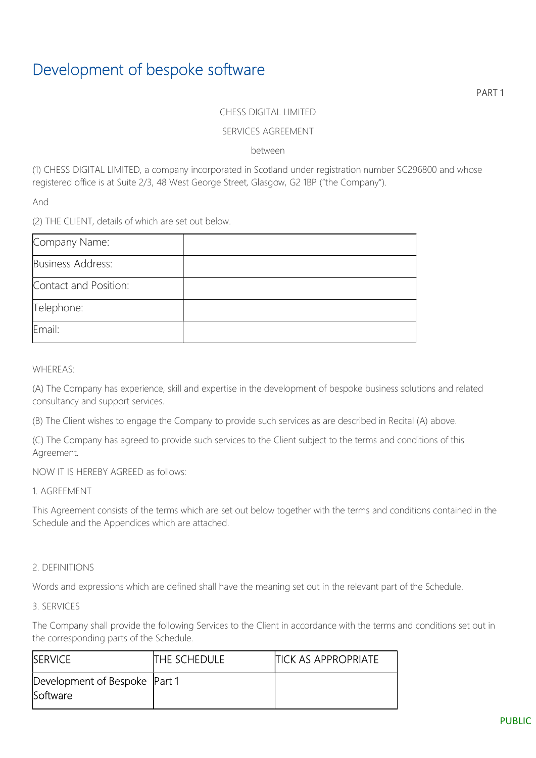## Development of bespoke software

PART 1

#### CHESS DIGITAL LIMITED

#### SERVICES AGREEMENT

between

(1) CHESS DIGITAL LIMITED, a company incorporated in Scotland under registration number SC296800 and whose registered office is at Suite 2/3, 48 West George Street, Glasgow, G2 1BP ("the Company").

And

(2) THE CLIENT, details of which are set out below.

| Company Name:            |  |
|--------------------------|--|
| <b>Business Address:</b> |  |
| Contact and Position:    |  |
| Telephone:               |  |
| Email:                   |  |

WHEREAS:

(A) The Company has experience, skill and expertise in the development of bespoke business solutions and related consultancy and support services.

(B) The Client wishes to engage the Company to provide such services as are described in Recital (A) above.

(C) The Company has agreed to provide such services to the Client subject to the terms and conditions of this Agreement.

NOW IT IS HEREBY AGREED as follows:

1. AGREEMENT

This Agreement consists of the terms which are set out below together with the terms and conditions contained in the Schedule and the Appendices which are attached.

#### 2. DEFINITIONS

Words and expressions which are defined shall have the meaning set out in the relevant part of the Schedule.

3. SERVICES

The Company shall provide the following Services to the Client in accordance with the terms and conditions set out in the corresponding parts of the Schedule.

| <b>ISERVICE</b>                                    | <b>THE SCHEDULE</b> | <b>ITICK AS APPROPRIATE</b> |
|----------------------------------------------------|---------------------|-----------------------------|
| Development of Bespoke   Part 1<br><b>Software</b> |                     |                             |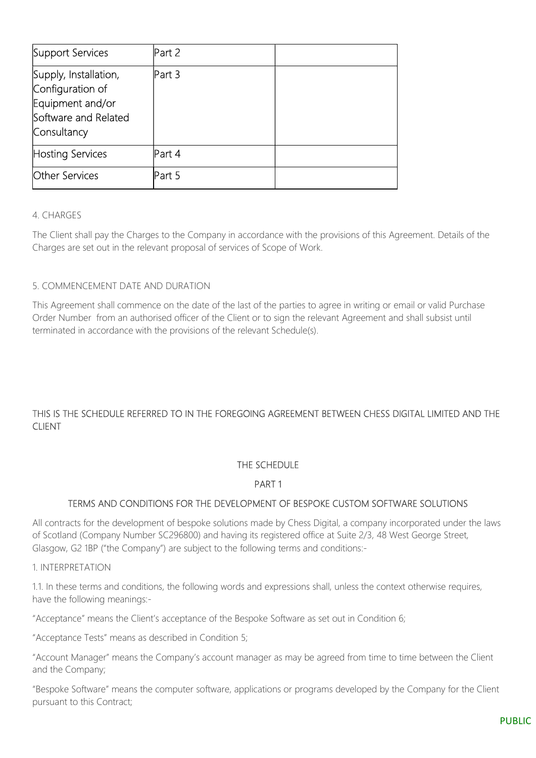| Support Services                                                                                     | Part 2 |  |
|------------------------------------------------------------------------------------------------------|--------|--|
| Supply, Installation,<br>Configuration of<br>Equipment and/or<br>Software and Related<br>Consultancy | Part 3 |  |
| Hosting Services                                                                                     | Part 4 |  |
| <b>Other Services</b>                                                                                | Part 5 |  |

## 4. CHARGES

The Client shall pay the Charges to the Company in accordance with the provisions of this Agreement. Details of the Charges are set out in the relevant proposal of services of Scope of Work.

## 5. COMMENCEMENT DATE AND DURATION

This Agreement shall commence on the date of the last of the parties to agree in writing or email or valid Purchase Order Number from an authorised officer of the Client or to sign the relevant Agreement and shall subsist until terminated in accordance with the provisions of the relevant Schedule(s).

## THIS IS THE SCHEDULE REFERRED TO IN THE FOREGOING AGREEMENT BETWEEN CHESS DIGITAL LIMITED AND THE CLIENT

## THE SCHEDULE

## PART 1

## TERMS AND CONDITIONS FOR THE DEVELOPMENT OF BESPOKE CUSTOM SOFTWARE SOLUTIONS

All contracts for the development of bespoke solutions made by Chess Digital, a company incorporated under the laws of Scotland (Company Number SC296800) and having its registered office at Suite 2/3, 48 West George Street, Glasgow, G2 1BP ("the Company") are subject to the following terms and conditions:-

1. INTERPRETATION

1.1. In these terms and conditions, the following words and expressions shall, unless the context otherwise requires, have the following meanings:-

"Acceptance" means the Client's acceptance of the Bespoke Software as set out in Condition 6;

"Acceptance Tests" means as described in Condition 5;

"Account Manager" means the Company's account manager as may be agreed from time to time between the Client and the Company;

"Bespoke Software" means the computer software, applications or programs developed by the Company for the Client pursuant to this Contract;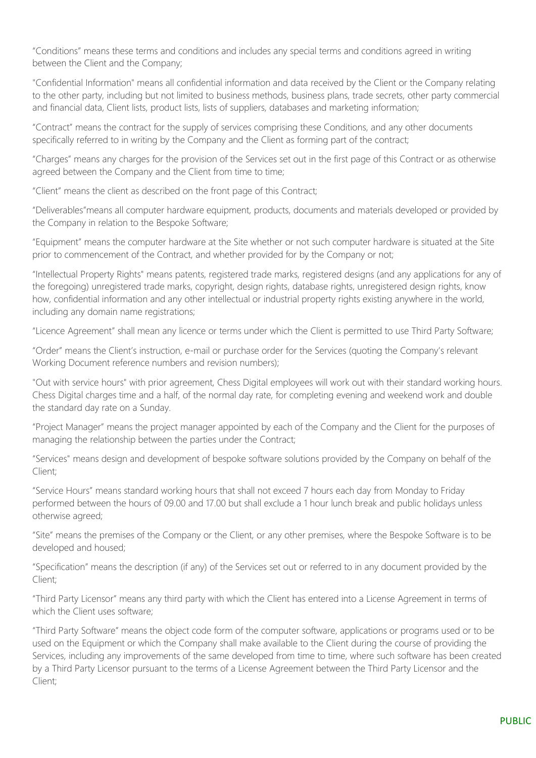"Conditions" means these terms and conditions and includes any special terms and conditions agreed in writing between the Client and the Company;

"Confidential Information" means all confidential information and data received by the Client or the Company relating to the other party, including but not limited to business methods, business plans, trade secrets, other party commercial and financial data, Client lists, product lists, lists of suppliers, databases and marketing information;

"Contract" means the contract for the supply of services comprising these Conditions, and any other documents specifically referred to in writing by the Company and the Client as forming part of the contract;

"Charges" means any charges for the provision of the Services set out in the first page of this Contract or as otherwise agreed between the Company and the Client from time to time;

"Client" means the client as described on the front page of this Contract;

"Deliverables"means all computer hardware equipment, products, documents and materials developed or provided by the Company in relation to the Bespoke Software;

"Equipment" means the computer hardware at the Site whether or not such computer hardware is situated at the Site prior to commencement of the Contract, and whether provided for by the Company or not;

"Intellectual Property Rights" means patents, registered trade marks, registered designs (and any applications for any of the foregoing) unregistered trade marks, copyright, design rights, database rights, unregistered design rights, know how, confidential information and any other intellectual or industrial property rights existing anywhere in the world, including any domain name registrations;

"Licence Agreement" shall mean any licence or terms under which the Client is permitted to use Third Party Software;

"Order" means the Client's instruction, e-mail or purchase order for the Services (quoting the Company's relevant Working Document reference numbers and revision numbers);

"Out with service hours" with prior agreement, Chess Digital employees will work out with their standard working hours. Chess Digital charges time and a half, of the normal day rate, for completing evening and weekend work and double the standard day rate on a Sunday.

"Project Manager" means the project manager appointed by each of the Company and the Client for the purposes of managing the relationship between the parties under the Contract;

"Services" means design and development of bespoke software solutions provided by the Company on behalf of the Client;

"Service Hours" means standard working hours that shall not exceed 7 hours each day from Monday to Friday performed between the hours of 09.00 and 17.00 but shall exclude a 1 hour lunch break and public holidays unless otherwise agreed;

"Site" means the premises of the Company or the Client, or any other premises, where the Bespoke Software is to be developed and housed;

"Specification" means the description (if any) of the Services set out or referred to in any document provided by the Client;

"Third Party Licensor" means any third party with which the Client has entered into a License Agreement in terms of which the Client uses software:

"Third Party Software" means the object code form of the computer software, applications or programs used or to be used on the Equipment or which the Company shall make available to the Client during the course of providing the Services, including any improvements of the same developed from time to time, where such software has been created by a Third Party Licensor pursuant to the terms of a License Agreement between the Third Party Licensor and the Client;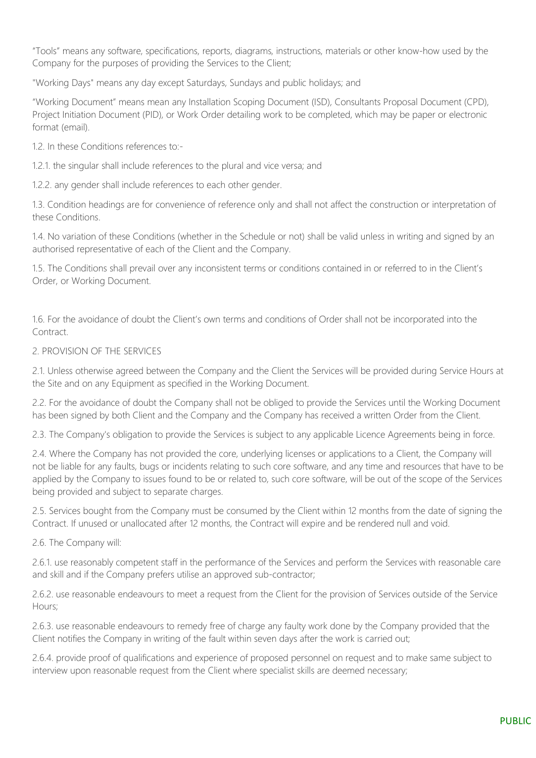"Tools" means any software, specifications, reports, diagrams, instructions, materials or other know-how used by the Company for the purposes of providing the Services to the Client;

"Working Days" means any day except Saturdays, Sundays and public holidays; and

"Working Document" means mean any Installation Scoping Document (ISD), Consultants Proposal Document (CPD), Project Initiation Document (PID), or Work Order detailing work to be completed, which may be paper or electronic format (email).

1.2. In these Conditions references to:-

1.2.1. the singular shall include references to the plural and vice versa; and

1.2.2. any gender shall include references to each other gender.

1.3. Condition headings are for convenience of reference only and shall not affect the construction or interpretation of these Conditions.

1.4. No variation of these Conditions (whether in the Schedule or not) shall be valid unless in writing and signed by an authorised representative of each of the Client and the Company.

1.5. The Conditions shall prevail over any inconsistent terms or conditions contained in or referred to in the Client's Order, or Working Document.

1.6. For the avoidance of doubt the Client's own terms and conditions of Order shall not be incorporated into the Contract

#### 2. PROVISION OF THE SERVICES

2.1. Unless otherwise agreed between the Company and the Client the Services will be provided during Service Hours at the Site and on any Equipment as specified in the Working Document.

2.2. For the avoidance of doubt the Company shall not be obliged to provide the Services until the Working Document has been signed by both Client and the Company and the Company has received a written Order from the Client.

2.3. The Company's obligation to provide the Services is subject to any applicable Licence Agreements being in force.

2.4. Where the Company has not provided the core, underlying licenses or applications to a Client, the Company will not be liable for any faults, bugs or incidents relating to such core software, and any time and resources that have to be applied by the Company to issues found to be or related to, such core software, will be out of the scope of the Services being provided and subject to separate charges.

2.5. Services bought from the Company must be consumed by the Client within 12 months from the date of signing the Contract. If unused or unallocated after 12 months, the Contract will expire and be rendered null and void.

2.6. The Company will:

2.6.1. use reasonably competent staff in the performance of the Services and perform the Services with reasonable care and skill and if the Company prefers utilise an approved sub-contractor;

2.6.2. use reasonable endeavours to meet a request from the Client for the provision of Services outside of the Service Hours;

2.6.3. use reasonable endeavours to remedy free of charge any faulty work done by the Company provided that the Client notifies the Company in writing of the fault within seven days after the work is carried out;

2.6.4. provide proof of qualifications and experience of proposed personnel on request and to make same subject to interview upon reasonable request from the Client where specialist skills are deemed necessary;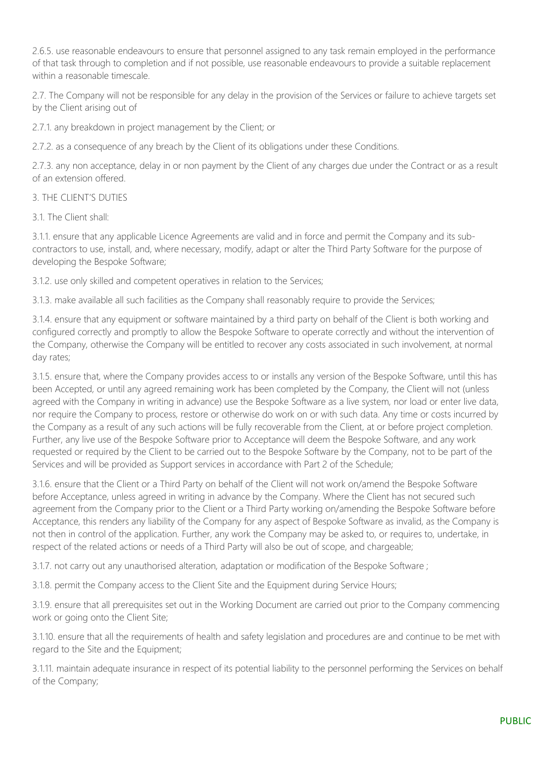2.6.5. use reasonable endeavours to ensure that personnel assigned to any task remain employed in the performance of that task through to completion and if not possible, use reasonable endeavours to provide a suitable replacement within a reasonable timescale.

2.7. The Company will not be responsible for any delay in the provision of the Services or failure to achieve targets set by the Client arising out of

2.7.1. any breakdown in project management by the Client; or

2.7.2. as a consequence of any breach by the Client of its obligations under these Conditions.

2.7.3. any non acceptance, delay in or non payment by the Client of any charges due under the Contract or as a result of an extension offered.

#### 3. THE CLIENT'S DUTIES

3.1. The Client shall:

3.1.1. ensure that any applicable Licence Agreements are valid and in force and permit the Company and its subcontractors to use, install, and, where necessary, modify, adapt or alter the Third Party Software for the purpose of developing the Bespoke Software;

3.1.2. use only skilled and competent operatives in relation to the Services;

3.1.3. make available all such facilities as the Company shall reasonably require to provide the Services;

3.1.4. ensure that any equipment or software maintained by a third party on behalf of the Client is both working and configured correctly and promptly to allow the Bespoke Software to operate correctly and without the intervention of the Company, otherwise the Company will be entitled to recover any costs associated in such involvement, at normal day rates;

3.1.5. ensure that, where the Company provides access to or installs any version of the Bespoke Software, until this has been Accepted, or until any agreed remaining work has been completed by the Company, the Client will not (unless agreed with the Company in writing in advance) use the Bespoke Software as a live system, nor load or enter live data, nor require the Company to process, restore or otherwise do work on or with such data. Any time or costs incurred by the Company as a result of any such actions will be fully recoverable from the Client, at or before project completion. Further, any live use of the Bespoke Software prior to Acceptance will deem the Bespoke Software, and any work requested or required by the Client to be carried out to the Bespoke Software by the Company, not to be part of the Services and will be provided as Support services in accordance with Part 2 of the Schedule;

3.1.6. ensure that the Client or a Third Party on behalf of the Client will not work on/amend the Bespoke Software before Acceptance, unless agreed in writing in advance by the Company. Where the Client has not secured such agreement from the Company prior to the Client or a Third Party working on/amending the Bespoke Software before Acceptance, this renders any liability of the Company for any aspect of Bespoke Software as invalid, as the Company is not then in control of the application. Further, any work the Company may be asked to, or requires to, undertake, in respect of the related actions or needs of a Third Party will also be out of scope, and chargeable;

3.1.7. not carry out any unauthorised alteration, adaptation or modification of the Bespoke Software ;

3.1.8. permit the Company access to the Client Site and the Equipment during Service Hours;

3.1.9. ensure that all prerequisites set out in the Working Document are carried out prior to the Company commencing work or going onto the Client Site;

3.1.10. ensure that all the requirements of health and safety legislation and procedures are and continue to be met with regard to the Site and the Equipment;

3.1.11. maintain adequate insurance in respect of its potential liability to the personnel performing the Services on behalf of the Company;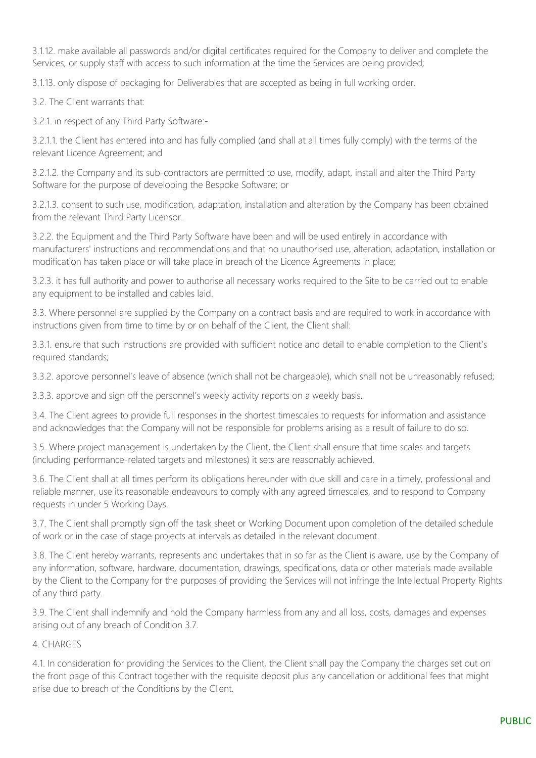3.1.12. make available all passwords and/or digital certificates required for the Company to deliver and complete the Services, or supply staff with access to such information at the time the Services are being provided;

3.1.13. only dispose of packaging for Deliverables that are accepted as being in full working order.

3.2. The Client warrants that:

3.2.1. in respect of any Third Party Software:-

3.2.1.1. the Client has entered into and has fully complied (and shall at all times fully comply) with the terms of the relevant Licence Agreement; and

3.2.1.2. the Company and its sub-contractors are permitted to use, modify, adapt, install and alter the Third Party Software for the purpose of developing the Bespoke Software; or

3.2.1.3. consent to such use, modification, adaptation, installation and alteration by the Company has been obtained from the relevant Third Party Licensor.

3.2.2. the Equipment and the Third Party Software have been and will be used entirely in accordance with manufacturers' instructions and recommendations and that no unauthorised use, alteration, adaptation, installation or modification has taken place or will take place in breach of the Licence Agreements in place;

3.2.3. it has full authority and power to authorise all necessary works required to the Site to be carried out to enable any equipment to be installed and cables laid.

3.3. Where personnel are supplied by the Company on a contract basis and are required to work in accordance with instructions given from time to time by or on behalf of the Client, the Client shall:

3.3.1. ensure that such instructions are provided with sufficient notice and detail to enable completion to the Client's required standards;

3.3.2. approve personnel's leave of absence (which shall not be chargeable), which shall not be unreasonably refused;

3.3.3. approve and sign off the personnel's weekly activity reports on a weekly basis.

3.4. The Client agrees to provide full responses in the shortest timescales to requests for information and assistance and acknowledges that the Company will not be responsible for problems arising as a result of failure to do so.

3.5. Where project management is undertaken by the Client, the Client shall ensure that time scales and targets (including performance-related targets and milestones) it sets are reasonably achieved.

3.6. The Client shall at all times perform its obligations hereunder with due skill and care in a timely, professional and reliable manner, use its reasonable endeavours to comply with any agreed timescales, and to respond to Company requests in under 5 Working Days.

3.7. The Client shall promptly sign off the task sheet or Working Document upon completion of the detailed schedule of work or in the case of stage projects at intervals as detailed in the relevant document.

3.8. The Client hereby warrants, represents and undertakes that in so far as the Client is aware, use by the Company of any information, software, hardware, documentation, drawings, specifications, data or other materials made available by the Client to the Company for the purposes of providing the Services will not infringe the Intellectual Property Rights of any third party.

3.9. The Client shall indemnify and hold the Company harmless from any and all loss, costs, damages and expenses arising out of any breach of Condition 3.7.

#### 4. CHARGES

4.1. In consideration for providing the Services to the Client, the Client shall pay the Company the charges set out on the front page of this Contract together with the requisite deposit plus any cancellation or additional fees that might arise due to breach of the Conditions by the Client.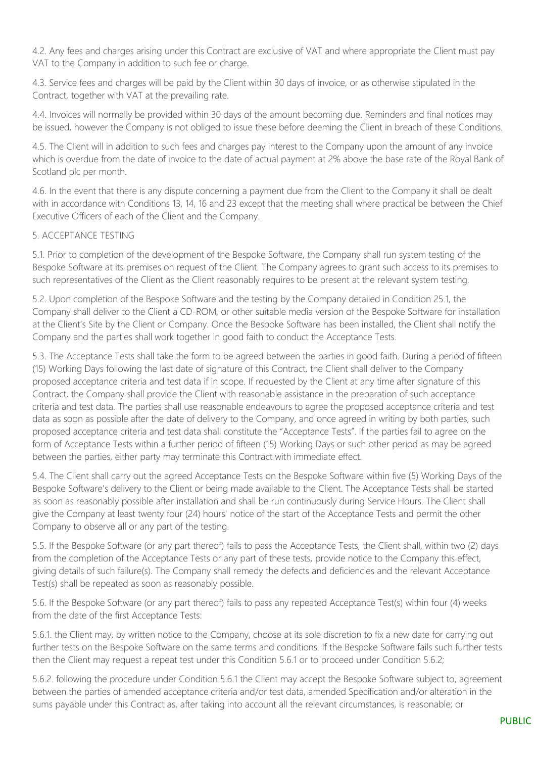4.2. Any fees and charges arising under this Contract are exclusive of VAT and where appropriate the Client must pay VAT to the Company in addition to such fee or charge.

4.3. Service fees and charges will be paid by the Client within 30 days of invoice, or as otherwise stipulated in the Contract, together with VAT at the prevailing rate.

4.4. Invoices will normally be provided within 30 days of the amount becoming due. Reminders and final notices may be issued, however the Company is not obliged to issue these before deeming the Client in breach of these Conditions.

4.5. The Client will in addition to such fees and charges pay interest to the Company upon the amount of any invoice which is overdue from the date of invoice to the date of actual payment at 2% above the base rate of the Royal Bank of Scotland plc per month.

4.6. In the event that there is any dispute concerning a payment due from the Client to the Company it shall be dealt with in accordance with Conditions 13, 14, 16 and 23 except that the meeting shall where practical be between the Chief Executive Officers of each of the Client and the Company.

## 5. ACCEPTANCE TESTING

5.1. Prior to completion of the development of the Bespoke Software, the Company shall run system testing of the Bespoke Software at its premises on request of the Client. The Company agrees to grant such access to its premises to such representatives of the Client as the Client reasonably requires to be present at the relevant system testing.

5.2. Upon completion of the Bespoke Software and the testing by the Company detailed in Condition 25.1, the Company shall deliver to the Client a CD-ROM, or other suitable media version of the Bespoke Software for installation at the Client's Site by the Client or Company. Once the Bespoke Software has been installed, the Client shall notify the Company and the parties shall work together in good faith to conduct the Acceptance Tests.

5.3. The Acceptance Tests shall take the form to be agreed between the parties in good faith. During a period of fifteen (15) Working Days following the last date of signature of this Contract, the Client shall deliver to the Company proposed acceptance criteria and test data if in scope. If requested by the Client at any time after signature of this Contract, the Company shall provide the Client with reasonable assistance in the preparation of such acceptance criteria and test data. The parties shall use reasonable endeavours to agree the proposed acceptance criteria and test data as soon as possible after the date of delivery to the Company, and once agreed in writing by both parties, such proposed acceptance criteria and test data shall constitute the "Acceptance Tests". If the parties fail to agree on the form of Acceptance Tests within a further period of fifteen (15) Working Days or such other period as may be agreed between the parties, either party may terminate this Contract with immediate effect.

5.4. The Client shall carry out the agreed Acceptance Tests on the Bespoke Software within five (5) Working Days of the Bespoke Software's delivery to the Client or being made available to the Client. The Acceptance Tests shall be started as soon as reasonably possible after installation and shall be run continuously during Service Hours. The Client shall give the Company at least twenty four (24) hours' notice of the start of the Acceptance Tests and permit the other Company to observe all or any part of the testing.

5.5. If the Bespoke Software (or any part thereof) fails to pass the Acceptance Tests, the Client shall, within two (2) days from the completion of the Acceptance Tests or any part of these tests, provide notice to the Company this effect, giving details of such failure(s). The Company shall remedy the defects and deficiencies and the relevant Acceptance Test(s) shall be repeated as soon as reasonably possible.

5.6. If the Bespoke Software (or any part thereof) fails to pass any repeated Acceptance Test(s) within four (4) weeks from the date of the first Acceptance Tests:

5.6.1. the Client may, by written notice to the Company, choose at its sole discretion to fix a new date for carrying out further tests on the Bespoke Software on the same terms and conditions. If the Bespoke Software fails such further tests then the Client may request a repeat test under this Condition 5.6.1 or to proceed under Condition 5.6.2;

5.6.2. following the procedure under Condition 5.6.1 the Client may accept the Bespoke Software subject to, agreement between the parties of amended acceptance criteria and/or test data, amended Specification and/or alteration in the sums payable under this Contract as, after taking into account all the relevant circumstances, is reasonable; or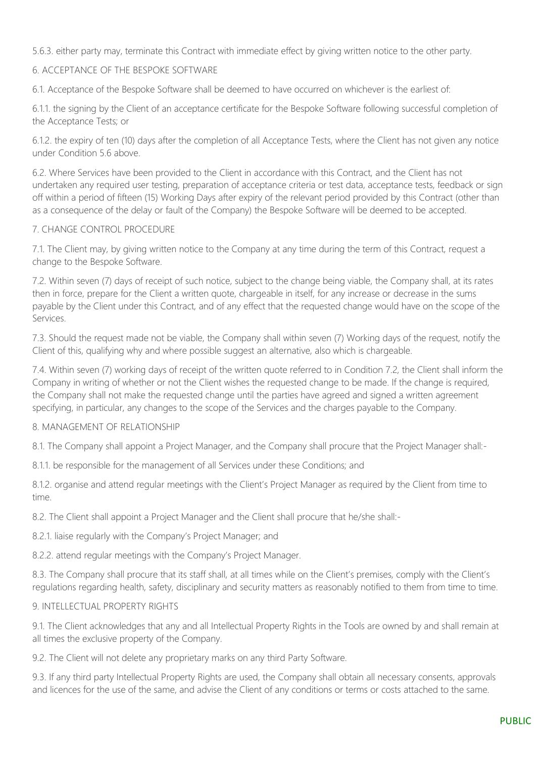5.6.3. either party may, terminate this Contract with immediate effect by giving written notice to the other party.

## 6. ACCEPTANCE OF THE BESPOKE SOFTWARE

6.1. Acceptance of the Bespoke Software shall be deemed to have occurred on whichever is the earliest of:

6.1.1. the signing by the Client of an acceptance certificate for the Bespoke Software following successful completion of the Acceptance Tests; or

6.1.2. the expiry of ten (10) days after the completion of all Acceptance Tests, where the Client has not given any notice under Condition 5.6 above.

6.2. Where Services have been provided to the Client in accordance with this Contract, and the Client has not undertaken any required user testing, preparation of acceptance criteria or test data, acceptance tests, feedback or sign off within a period of fifteen (15) Working Days after expiry of the relevant period provided by this Contract (other than as a consequence of the delay or fault of the Company) the Bespoke Software will be deemed to be accepted.

#### 7. CHANGE CONTROL PROCEDURE

7.1. The Client may, by giving written notice to the Company at any time during the term of this Contract, request a change to the Bespoke Software.

7.2. Within seven (7) days of receipt of such notice, subject to the change being viable, the Company shall, at its rates then in force, prepare for the Client a written quote, chargeable in itself, for any increase or decrease in the sums payable by the Client under this Contract, and of any effect that the requested change would have on the scope of the Services.

7.3. Should the request made not be viable, the Company shall within seven (7) Working days of the request, notify the Client of this, qualifying why and where possible suggest an alternative, also which is chargeable.

7.4. Within seven (7) working days of receipt of the written quote referred to in Condition 7.2, the Client shall inform the Company in writing of whether or not the Client wishes the requested change to be made. If the change is required, the Company shall not make the requested change until the parties have agreed and signed a written agreement specifying, in particular, any changes to the scope of the Services and the charges payable to the Company.

#### 8. MANAGEMENT OF RELATIONSHIP

8.1. The Company shall appoint a Project Manager, and the Company shall procure that the Project Manager shall:-

8.1.1. be responsible for the management of all Services under these Conditions; and

8.1.2. organise and attend regular meetings with the Client's Project Manager as required by the Client from time to time.

8.2. The Client shall appoint a Project Manager and the Client shall procure that he/she shall:-

8.2.1. liaise regularly with the Company's Project Manager; and

8.2.2. attend regular meetings with the Company's Project Manager.

8.3. The Company shall procure that its staff shall, at all times while on the Client's premises, comply with the Client's regulations regarding health, safety, disciplinary and security matters as reasonably notified to them from time to time.

## 9. INTELLECTUAL PROPERTY RIGHTS

9.1. The Client acknowledges that any and all Intellectual Property Rights in the Tools are owned by and shall remain at all times the exclusive property of the Company.

9.2. The Client will not delete any proprietary marks on any third Party Software.

9.3. If any third party Intellectual Property Rights are used, the Company shall obtain all necessary consents, approvals and licences for the use of the same, and advise the Client of any conditions or terms or costs attached to the same.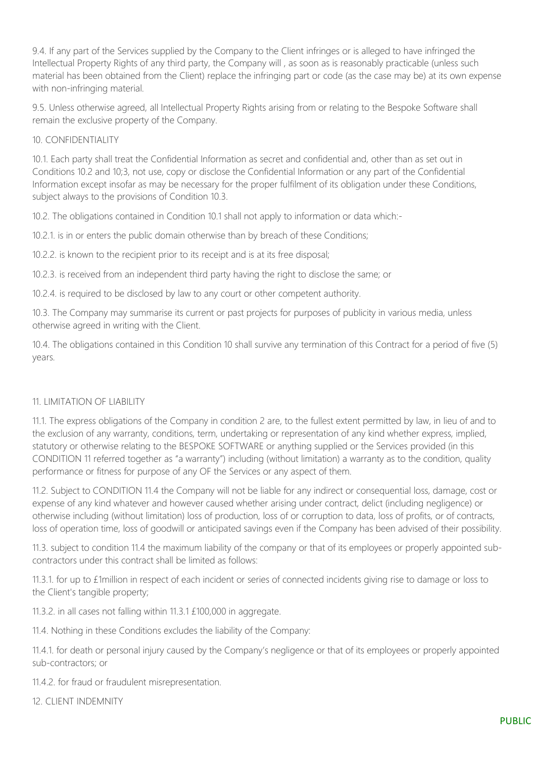9.4. If any part of the Services supplied by the Company to the Client infringes or is alleged to have infringed the Intellectual Property Rights of any third party, the Company will , as soon as is reasonably practicable (unless such material has been obtained from the Client) replace the infringing part or code (as the case may be) at its own expense with non-infringing material.

9.5. Unless otherwise agreed, all Intellectual Property Rights arising from or relating to the Bespoke Software shall remain the exclusive property of the Company.

#### 10. CONFIDENTIALITY

10.1. Each party shall treat the Confidential Information as secret and confidential and, other than as set out in Conditions 10.2 and 10;3, not use, copy or disclose the Confidential Information or any part of the Confidential Information except insofar as may be necessary for the proper fulfilment of its obligation under these Conditions, subject always to the provisions of Condition 10.3.

10.2. The obligations contained in Condition 10.1 shall not apply to information or data which:-

10.2.1. is in or enters the public domain otherwise than by breach of these Conditions;

10.2.2. is known to the recipient prior to its receipt and is at its free disposal;

10.2.3. is received from an independent third party having the right to disclose the same; or

10.2.4. is required to be disclosed by law to any court or other competent authority.

10.3. The Company may summarise its current or past projects for purposes of publicity in various media, unless otherwise agreed in writing with the Client.

10.4. The obligations contained in this Condition 10 shall survive any termination of this Contract for a period of five (5) years.

#### 11. LIMITATION OF LIABILITY

11.1. The express obligations of the Company in condition 2 are, to the fullest extent permitted by law, in lieu of and to the exclusion of any warranty, conditions, term, undertaking or representation of any kind whether express, implied, statutory or otherwise relating to the BESPOKE SOFTWARE or anything supplied or the Services provided (in this CONDITION 11 referred together as "a warranty") including (without limitation) a warranty as to the condition, quality performance or fitness for purpose of any OF the Services or any aspect of them.

11.2. Subject to CONDITION 11.4 the Company will not be liable for any indirect or consequential loss, damage, cost or expense of any kind whatever and however caused whether arising under contract, delict (including negligence) or otherwise including (without limitation) loss of production, loss of or corruption to data, loss of profits, or of contracts, loss of operation time, loss of goodwill or anticipated savings even if the Company has been advised of their possibility.

11.3. subject to condition 11.4 the maximum liability of the company or that of its employees or properly appointed subcontractors under this contract shall be limited as follows:

11.3.1. for up to £1million in respect of each incident or series of connected incidents giving rise to damage or loss to the Client's tangible property;

11.3.2. in all cases not falling within 11.3.1 £100,000 in aggregate.

11.4. Nothing in these Conditions excludes the liability of the Company:

11.4.1. for death or personal injury caused by the Company's negligence or that of its employees or properly appointed sub-contractors; or

11.4.2. for fraud or fraudulent misrepresentation.

12. CLIENT INDEMNITY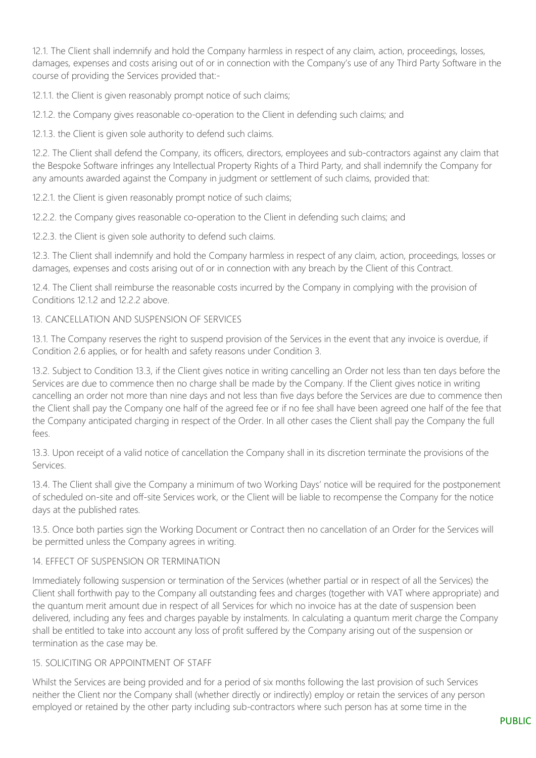12.1. The Client shall indemnify and hold the Company harmless in respect of any claim, action, proceedings, losses, damages, expenses and costs arising out of or in connection with the Company's use of any Third Party Software in the course of providing the Services provided that:-

12.1.1. the Client is given reasonably prompt notice of such claims;

12.1.2. the Company gives reasonable co-operation to the Client in defending such claims; and

12.1.3. the Client is given sole authority to defend such claims.

12.2. The Client shall defend the Company, its officers, directors, employees and sub-contractors against any claim that the Bespoke Software infringes any Intellectual Property Rights of a Third Party, and shall indemnify the Company for any amounts awarded against the Company in judgment or settlement of such claims, provided that:

12.2.1. the Client is given reasonably prompt notice of such claims;

12.2.2. the Company gives reasonable co-operation to the Client in defending such claims; and

12.2.3. the Client is given sole authority to defend such claims.

12.3. The Client shall indemnify and hold the Company harmless in respect of any claim, action, proceedings, losses or damages, expenses and costs arising out of or in connection with any breach by the Client of this Contract.

12.4. The Client shall reimburse the reasonable costs incurred by the Company in complying with the provision of Conditions 12.1.2 and 12.2.2 above.

## 13. CANCELLATION AND SUSPENSION OF SERVICES

13.1. The Company reserves the right to suspend provision of the Services in the event that any invoice is overdue, if Condition 2.6 applies, or for health and safety reasons under Condition 3.

13.2. Subject to Condition 13.3, if the Client gives notice in writing cancelling an Order not less than ten days before the Services are due to commence then no charge shall be made by the Company. If the Client gives notice in writing cancelling an order not more than nine days and not less than five days before the Services are due to commence then the Client shall pay the Company one half of the agreed fee or if no fee shall have been agreed one half of the fee that the Company anticipated charging in respect of the Order. In all other cases the Client shall pay the Company the full fees.

13.3. Upon receipt of a valid notice of cancellation the Company shall in its discretion terminate the provisions of the Services.

13.4. The Client shall give the Company a minimum of two Working Days' notice will be required for the postponement of scheduled on-site and off-site Services work, or the Client will be liable to recompense the Company for the notice days at the published rates.

13.5. Once both parties sign the Working Document or Contract then no cancellation of an Order for the Services will be permitted unless the Company agrees in writing.

#### 14. EFFECT OF SUSPENSION OR TERMINATION

Immediately following suspension or termination of the Services (whether partial or in respect of all the Services) the Client shall forthwith pay to the Company all outstanding fees and charges (together with VAT where appropriate) and the quantum merit amount due in respect of all Services for which no invoice has at the date of suspension been delivered, including any fees and charges payable by instalments. In calculating a quantum merit charge the Company shall be entitled to take into account any loss of profit suffered by the Company arising out of the suspension or termination as the case may be.

#### 15. SOLICITING OR APPOINTMENT OF STAFF

Whilst the Services are being provided and for a period of six months following the last provision of such Services neither the Client nor the Company shall (whether directly or indirectly) employ or retain the services of any person employed or retained by the other party including sub-contractors where such person has at some time in the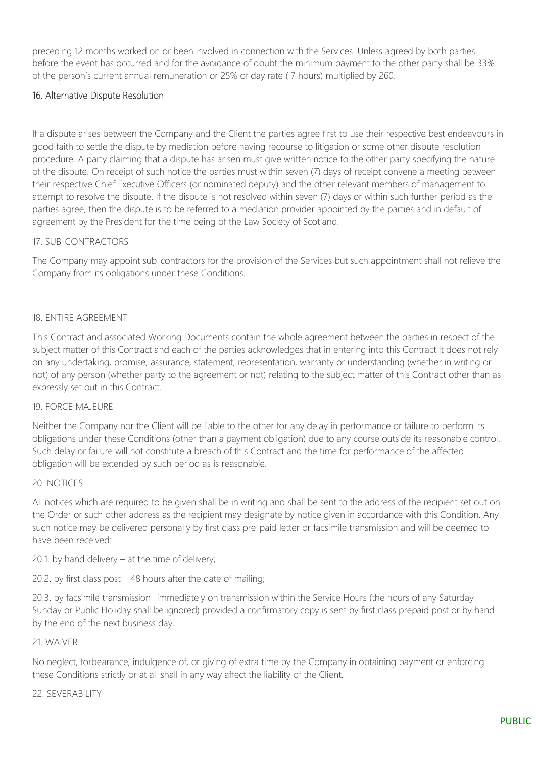preceding 12 months worked on or been involved in connection with the Services. Unless agreed by both parties before the event has occurred and for the avoidance of doubt the minimum payment to the other party shall be 33% of the person's current annual remuneration or 25% of day rate ( 7 hours) multiplied by 260.

## 16. Alternative Dispute Resolution

If a dispute arises between the Company and the Client the parties agree first to use their respective best endeavours in good faith to settle the dispute by mediation before having recourse to litigation or some other dispute resolution procedure. A party claiming that a dispute has arisen must give written notice to the other party specifying the nature of the dispute. On receipt of such notice the parties must within seven (7) days of receipt convene a meeting between their respective Chief Executive Officers (or nominated deputy) and the other relevant members of management to attempt to resolve the dispute. If the dispute is not resolved within seven (7) days or within such further period as the parties agree, then the dispute is to be referred to a mediation provider appointed by the parties and in default of agreement by the President for the time being of the Law Society of Scotland.

#### 17. SUB-CONTRACTORS

The Company may appoint sub-contractors for the provision of the Services but such appointment shall not relieve the Company from its obligations under these Conditions.

#### 18. ENTIRE AGREEMENT

This Contract and associated Working Documents contain the whole agreement between the parties in respect of the subject matter of this Contract and each of the parties acknowledges that in entering into this Contract it does not rely on any undertaking, promise, assurance, statement, representation, warranty or understanding (whether in writing or not) of any person (whether party to the agreement or not) relating to the subject matter of this Contract other than as expressly set out in this Contract.

#### 19. FORCE MAJEURE

Neither the Company nor the Client will be liable to the other for any delay in performance or failure to perform its obligations under these Conditions (other than a payment obligation) due to any course outside its reasonable control. Such delay or failure will not constitute a breach of this Contract and the time for performance of the affected obligation will be extended by such period as is reasonable.

#### 20. NOTICES

All notices which are required to be given shall be in writing and shall be sent to the address of the recipient set out on the Order or such other address as the recipient may designate by notice given in accordance with this Condition. Any such notice may be delivered personally by first class pre-paid letter or facsimile transmission and will be deemed to have been received:

20.1. by hand delivery – at the time of delivery;

20.2. by first class post – 48 hours after the date of mailing;

20.3. by facsimile transmission -immediately on transmission within the Service Hours (the hours of any Saturday Sunday or Public Holiday shall be ignored) provided a confirmatory copy is sent by first class prepaid post or by hand by the end of the next business day.

#### 21. WAIVER

No neglect, forbearance, indulgence of, or giving of extra time by the Company in obtaining payment or enforcing these Conditions strictly or at all shall in any way affect the liability of the Client.

#### 22. SEVERABILITY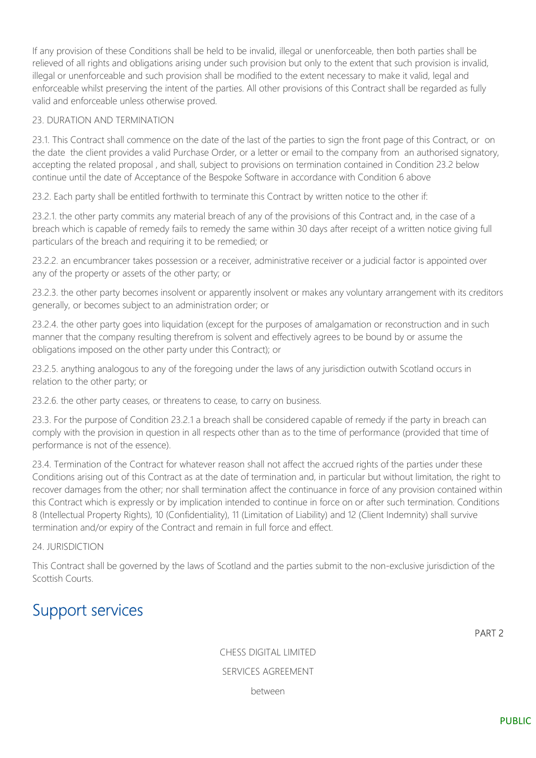If any provision of these Conditions shall be held to be invalid, illegal or unenforceable, then both parties shall be relieved of all rights and obligations arising under such provision but only to the extent that such provision is invalid, illegal or unenforceable and such provision shall be modified to the extent necessary to make it valid, legal and enforceable whilst preserving the intent of the parties. All other provisions of this Contract shall be regarded as fully valid and enforceable unless otherwise proved.

#### 23. DURATION AND TERMINATION

23.1. This Contract shall commence on the date of the last of the parties to sign the front page of this Contract, or on the date the client provides a valid Purchase Order, or a letter or email to the company from an authorised signatory, accepting the related proposal , and shall, subject to provisions on termination contained in Condition 23.2 below continue until the date of Acceptance of the Bespoke Software in accordance with Condition 6 above

23.2. Each party shall be entitled forthwith to terminate this Contract by written notice to the other if:

23.2.1. the other party commits any material breach of any of the provisions of this Contract and, in the case of a breach which is capable of remedy fails to remedy the same within 30 days after receipt of a written notice giving full particulars of the breach and requiring it to be remedied; or

23.2.2. an encumbrancer takes possession or a receiver, administrative receiver or a judicial factor is appointed over any of the property or assets of the other party; or

23.2.3. the other party becomes insolvent or apparently insolvent or makes any voluntary arrangement with its creditors generally, or becomes subject to an administration order; or

23.2.4. the other party goes into liquidation (except for the purposes of amalgamation or reconstruction and in such manner that the company resulting therefrom is solvent and effectively agrees to be bound by or assume the obligations imposed on the other party under this Contract); or

23.2.5. anything analogous to any of the foregoing under the laws of any jurisdiction outwith Scotland occurs in relation to the other party; or

23.2.6. the other party ceases, or threatens to cease, to carry on business.

23.3. For the purpose of Condition 23.2.1 a breach shall be considered capable of remedy if the party in breach can comply with the provision in question in all respects other than as to the time of performance (provided that time of performance is not of the essence).

23.4. Termination of the Contract for whatever reason shall not affect the accrued rights of the parties under these Conditions arising out of this Contract as at the date of termination and, in particular but without limitation, the right to recover damages from the other; nor shall termination affect the continuance in force of any provision contained within this Contract which is expressly or by implication intended to continue in force on or after such termination. Conditions 8 (Intellectual Property Rights), 10 (Confidentiality), 11 (Limitation of Liability) and 12 (Client Indemnity) shall survive termination and/or expiry of the Contract and remain in full force and effect.

#### 24. JURISDICTION

This Contract shall be governed by the laws of Scotland and the parties submit to the non-exclusive jurisdiction of the Scottish Courts.

## Support services

PART 2

CHESS DIGITAL LIMITED SERVICES AGREEMENT between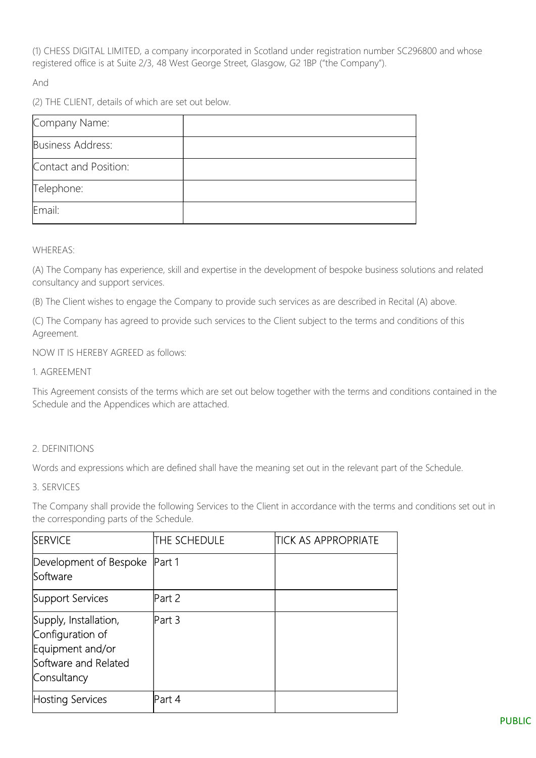(1) CHESS DIGITAL LIMITED, a company incorporated in Scotland under registration number SC296800 and whose registered office is at Suite 2/3, 48 West George Street, Glasgow, G2 1BP ("the Company").

And

(2) THE CLIENT, details of which are set out below.

| Company Name:         |  |
|-----------------------|--|
| Business Address:     |  |
| Contact and Position: |  |
| Telephone:            |  |
| Email:                |  |

WHEREAS:

(A) The Company has experience, skill and expertise in the development of bespoke business solutions and related consultancy and support services.

(B) The Client wishes to engage the Company to provide such services as are described in Recital (A) above.

(C) The Company has agreed to provide such services to the Client subject to the terms and conditions of this Agreement.

NOW IT IS HEREBY AGREED as follows:

1. AGREEMENT

This Agreement consists of the terms which are set out below together with the terms and conditions contained in the Schedule and the Appendices which are attached.

## 2. DEFINITIONS

Words and expressions which are defined shall have the meaning set out in the relevant part of the Schedule.

#### 3. SERVICES

The Company shall provide the following Services to the Client in accordance with the terms and conditions set out in the corresponding parts of the Schedule.

| <b>SERVICE</b>                                                                                       | <b>ITHE SCHEDULE</b> | ITICK AS APPROPRIATE |
|------------------------------------------------------------------------------------------------------|----------------------|----------------------|
| Development of Bespoke<br><b>Software</b>                                                            | Part 1               |                      |
| Support Services                                                                                     | Part 2               |                      |
| Supply, Installation,<br>Configuration of<br>Equipment and/or<br>Software and Related<br>Consultancy | Part 3               |                      |
| Hosting Services                                                                                     | Part 4               |                      |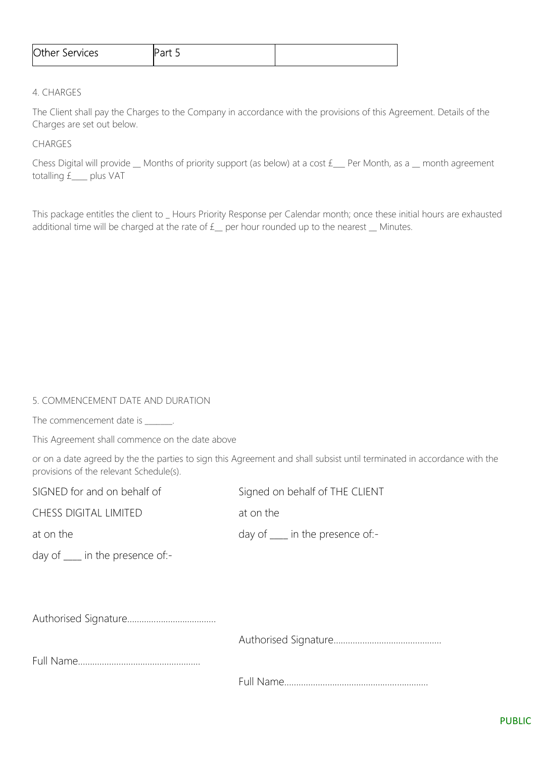| <b>Other</b><br>Services | .<br>. <i>.</i> |  |
|--------------------------|-----------------|--|
|                          |                 |  |

#### 4. CHARGES

The Client shall pay the Charges to the Company in accordance with the provisions of this Agreement. Details of the Charges are set out below.

#### CHARGES

Chess Digital will provide \_\_ Months of priority support (as below) at a cost £\_\_\_ Per Month, as a \_\_ month agreement totalling £\_\_\_\_ plus VAT

This package entitles the client to \_ Hours Priority Response per Calendar month; once these initial hours are exhausted additional time will be charged at the rate of  $f$  per hour rounded up to the nearest  $\Box$  Minutes.

#### 5. COMMENCEMENT DATE AND DURATION

The commencement date is  $\qquad \qquad$ .

This Agreement shall commence on the date above

or on a date agreed by the the parties to sign this Agreement and shall subsist until terminated in accordance with the provisions of the relevant Schedule(s).

| SIGNED for and on behalf of                                                                                                                                                                                                                                                                                                                                                                                                | Signed on behalf of THE CLIENT   |
|----------------------------------------------------------------------------------------------------------------------------------------------------------------------------------------------------------------------------------------------------------------------------------------------------------------------------------------------------------------------------------------------------------------------------|----------------------------------|
| <b>CHESS DIGITAL LIMITED</b>                                                                                                                                                                                                                                                                                                                                                                                               | at on the                        |
| at on the                                                                                                                                                                                                                                                                                                                                                                                                                  | day of ____ in the presence of:- |
| day of $\frac{1}{\sqrt{1-\frac{1}{\sqrt{1-\frac{1}{\sqrt{1-\frac{1}{\sqrt{1-\frac{1}{\sqrt{1-\frac{1}{\sqrt{1-\frac{1}{\sqrt{1-\frac{1}{\sqrt{1-\frac{1}{\sqrt{1-\frac{1}{\sqrt{1-\frac{1}{\sqrt{1-\frac{1}{\sqrt{1-\frac{1}{\sqrt{1-\frac{1}{\sqrt{1-\frac{1}{\sqrt{1-\frac{1}{\sqrt{1-\frac{1}{\sqrt{1-\frac{1}{\sqrt{1-\frac{1}{\sqrt{1-\frac{1}{\sqrt{1-\frac{1}{\sqrt{1-\frac{1}{\sqrt{1-\frac{1}{\sqrt{1-\frac{1}{\$ |                                  |
|                                                                                                                                                                                                                                                                                                                                                                                                                            |                                  |
|                                                                                                                                                                                                                                                                                                                                                                                                                            |                                  |
|                                                                                                                                                                                                                                                                                                                                                                                                                            |                                  |
|                                                                                                                                                                                                                                                                                                                                                                                                                            |                                  |
|                                                                                                                                                                                                                                                                                                                                                                                                                            |                                  |
|                                                                                                                                                                                                                                                                                                                                                                                                                            |                                  |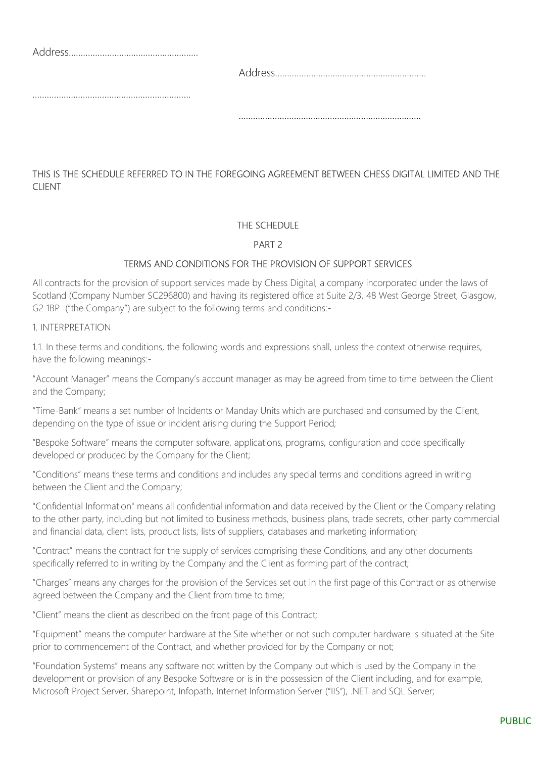## THIS IS THE SCHEDULE REFERRED TO IN THE FOREGOING AGREEMENT BETWEEN CHESS DIGITAL LIMITED AND THE CLIENT

## THE SCHEDULE

## PART 2

## TERMS AND CONDITIONS FOR THE PROVISION OF SUPPORT SERVICES

All contracts for the provision of support services made by Chess Digital, a company incorporated under the laws of Scotland (Company Number SC296800) and having its registered office at Suite 2/3, 48 West George Street, Glasgow, G2 1BP ("the Company") are subject to the following terms and conditions:-

1. INTERPRETATION

1.1. In these terms and conditions, the following words and expressions shall, unless the context otherwise requires, have the following meanings:-

"Account Manager" means the Company's account manager as may be agreed from time to time between the Client and the Company;

"Time-Bank" means a set number of Incidents or Manday Units which are purchased and consumed by the Client, depending on the type of issue or incident arising during the Support Period;

"Bespoke Software" means the computer software, applications, programs, configuration and code specifically developed or produced by the Company for the Client;

"Conditions" means these terms and conditions and includes any special terms and conditions agreed in writing between the Client and the Company;

"Confidential Information" means all confidential information and data received by the Client or the Company relating to the other party, including but not limited to business methods, business plans, trade secrets, other party commercial and financial data, client lists, product lists, lists of suppliers, databases and marketing information;

"Contract" means the contract for the supply of services comprising these Conditions, and any other documents specifically referred to in writing by the Company and the Client as forming part of the contract;

"Charges" means any charges for the provision of the Services set out in the first page of this Contract or as otherwise agreed between the Company and the Client from time to time;

"Client" means the client as described on the front page of this Contract;

"Equipment" means the computer hardware at the Site whether or not such computer hardware is situated at the Site prior to commencement of the Contract, and whether provided for by the Company or not;

"Foundation Systems" means any software not written by the Company but which is used by the Company in the development or provision of any Bespoke Software or is in the possession of the Client including, and for example, Microsoft Project Server, Sharepoint, Infopath, Internet Information Server ("IIS"), .NET and SQL Server;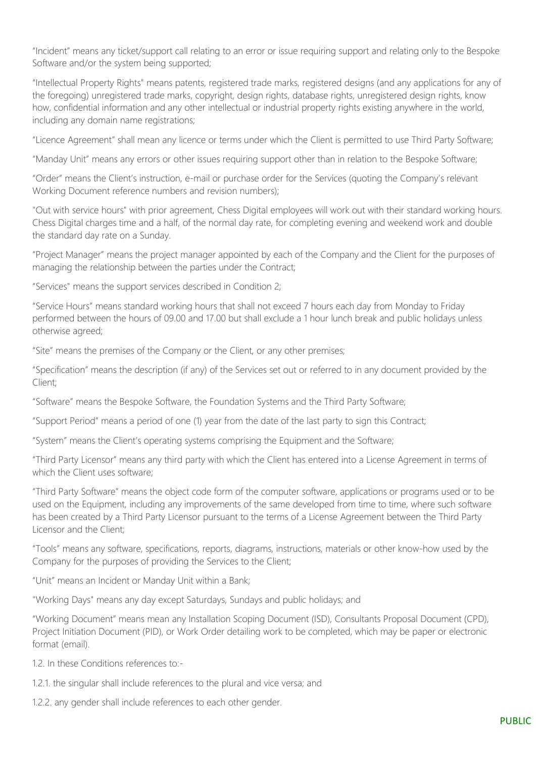"Incident" means any ticket/support call relating to an error or issue requiring support and relating only to the Bespoke Software and/or the system being supported;

"Intellectual Property Rights" means patents, registered trade marks, registered designs (and any applications for any of the foregoing) unregistered trade marks, copyright, design rights, database rights, unregistered design rights, know how, confidential information and any other intellectual or industrial property rights existing anywhere in the world, including any domain name registrations;

"Licence Agreement" shall mean any licence or terms under which the Client is permitted to use Third Party Software;

"Manday Unit" means any errors or other issues requiring support other than in relation to the Bespoke Software;

"Order" means the Client's instruction, e-mail or purchase order for the Services (quoting the Company's relevant Working Document reference numbers and revision numbers);

"Out with service hours" with prior agreement, Chess Digital employees will work out with their standard working hours. Chess Digital charges time and a half, of the normal day rate, for completing evening and weekend work and double the standard day rate on a Sunday.

"Project Manager" means the project manager appointed by each of the Company and the Client for the purposes of managing the relationship between the parties under the Contract;

"Services" means the support services described in Condition 2;

"Service Hours" means standard working hours that shall not exceed 7 hours each day from Monday to Friday performed between the hours of 09.00 and 17.00 but shall exclude a 1 hour lunch break and public holidays unless otherwise agreed;

"Site" means the premises of the Company or the Client, or any other premises;

"Specification" means the description (if any) of the Services set out or referred to in any document provided by the Client;

"Software" means the Bespoke Software, the Foundation Systems and the Third Party Software;

"Support Period" means a period of one (1) year from the date of the last party to sign this Contract;

"System" means the Client's operating systems comprising the Equipment and the Software;

"Third Party Licensor" means any third party with which the Client has entered into a License Agreement in terms of which the Client uses software;

"Third Party Software" means the object code form of the computer software, applications or programs used or to be used on the Equipment, including any improvements of the same developed from time to time, where such software has been created by a Third Party Licensor pursuant to the terms of a License Agreement between the Third Party Licensor and the Client;

"Tools" means any software, specifications, reports, diagrams, instructions, materials or other know-how used by the Company for the purposes of providing the Services to the Client;

"Unit" means an Incident or Manday Unit within a Bank;

"Working Days" means any day except Saturdays, Sundays and public holidays; and

"Working Document" means mean any Installation Scoping Document (ISD), Consultants Proposal Document (CPD), Project Initiation Document (PID), or Work Order detailing work to be completed, which may be paper or electronic format (email).

1.2. In these Conditions references to:-

1.2.1. the singular shall include references to the plural and vice versa; and

1.2.2. any gender shall include references to each other gender.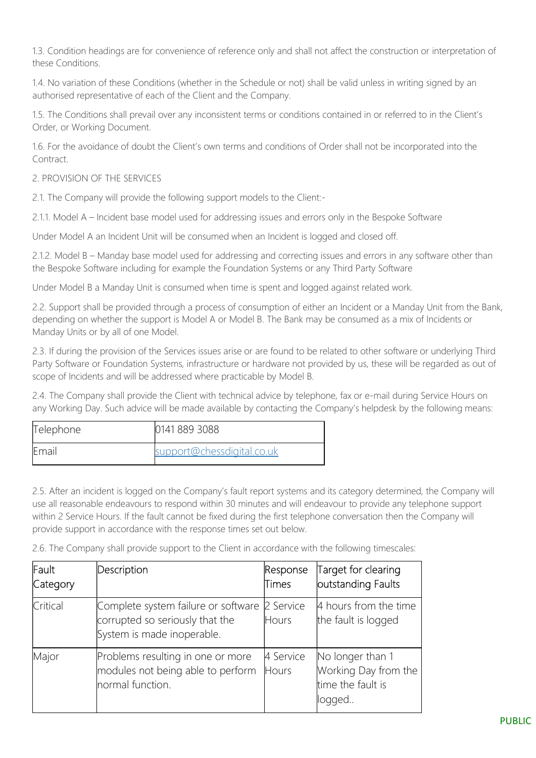1.3. Condition headings are for convenience of reference only and shall not affect the construction or interpretation of these Conditions.

1.4. No variation of these Conditions (whether in the Schedule or not) shall be valid unless in writing signed by an authorised representative of each of the Client and the Company.

1.5. The Conditions shall prevail over any inconsistent terms or conditions contained in or referred to in the Client's Order, or Working Document.

1.6. For the avoidance of doubt the Client's own terms and conditions of Order shall not be incorporated into the Contract.

## 2. PROVISION OF THE SERVICES

2.1. The Company will provide the following support models to the Client:-

2.1.1. Model A – Incident base model used for addressing issues and errors only in the Bespoke Software

Under Model A an Incident Unit will be consumed when an Incident is logged and closed off.

2.1.2. Model B – Manday base model used for addressing and correcting issues and errors in any software other than the Bespoke Software including for example the Foundation Systems or any Third Party Software

Under Model B a Manday Unit is consumed when time is spent and logged against related work.

2.2. Support shall be provided through a process of consumption of either an Incident or a Manday Unit from the Bank, depending on whether the support is Model A or Model B. The Bank may be consumed as a mix of Incidents or Manday Units or by all of one Model.

2.3. If during the provision of the Services issues arise or are found to be related to other software or underlying Third Party Software or Foundation Systems, infrastructure or hardware not provided by us, these will be regarded as out of scope of Incidents and will be addressed where practicable by Model B.

2.4. The Company shall provide the Client with technical advice by telephone, fax or e-mail during Service Hours on any Working Day. Such advice will be made available by contacting the Company's helpdesk by the following means:

| Telephone | 0141 889 3088              |
|-----------|----------------------------|
| Email     | support@chessdigital.co.uk |

2.5. After an incident is logged on the Company's fault report systems and its category determined, the Company will use all reasonable endeavours to respond within 30 minutes and will endeavour to provide any telephone support within 2 Service Hours. If the fault cannot be fixed during the first telephone conversation then the Company will provide support in accordance with the response times set out below.

2.6. The Company shall provide support to the Client in accordance with the following timescales:

| Fault<br>Category | Description                                                                                          | Response<br><b>Times</b> | Target for clearing<br>outstanding Faults                               |
|-------------------|------------------------------------------------------------------------------------------------------|--------------------------|-------------------------------------------------------------------------|
| Critical          | Complete system failure or software<br>corrupted so seriously that the<br>System is made inoperable. | 2 Service<br>Hours       | 4 hours from the time<br>the fault is logged                            |
| Major             | Problems resulting in one or more<br>modules not being able to perform<br>normal function.           | 4 Service<br>Hours       | No longer than 1<br>Working Day from the<br>time the fault is<br>logged |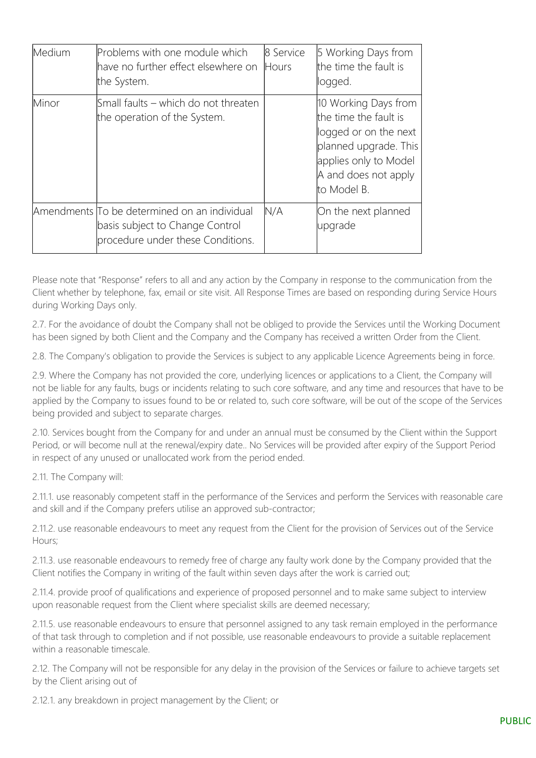| Medium | Problems with one module which<br>have no further effect elsewhere on<br>the System.                                 | 8 Service<br>Hours | 5 Working Days from<br>the time the fault is<br>logged.                                                                                                         |
|--------|----------------------------------------------------------------------------------------------------------------------|--------------------|-----------------------------------------------------------------------------------------------------------------------------------------------------------------|
| Minor  | Small faults – which do not threaten<br>the operation of the System.                                                 |                    | 10 Working Days from<br>the time the fault is<br>logged or on the next<br>planned upgrade. This<br>applies only to Model<br>A and does not apply<br>to Model B. |
|        | Amendments To be determined on an individual<br>basis subject to Change Control<br>procedure under these Conditions. | N/A                | On the next planned<br>upgrade                                                                                                                                  |

Please note that "Response" refers to all and any action by the Company in response to the communication from the Client whether by telephone, fax, email or site visit. All Response Times are based on responding during Service Hours during Working Days only.

2.7. For the avoidance of doubt the Company shall not be obliged to provide the Services until the Working Document has been signed by both Client and the Company and the Company has received a written Order from the Client.

2.8. The Company's obligation to provide the Services is subject to any applicable Licence Agreements being in force.

2.9. Where the Company has not provided the core, underlying licences or applications to a Client, the Company will not be liable for any faults, bugs or incidents relating to such core software, and any time and resources that have to be applied by the Company to issues found to be or related to, such core software, will be out of the scope of the Services being provided and subject to separate charges.

2.10. Services bought from the Company for and under an annual must be consumed by the Client within the Support Period, or will become null at the renewal/expiry date.. No Services will be provided after expiry of the Support Period in respect of any unused or unallocated work from the period ended.

#### 2.11. The Company will:

2.11.1. use reasonably competent staff in the performance of the Services and perform the Services with reasonable care and skill and if the Company prefers utilise an approved sub-contractor;

2.11.2. use reasonable endeavours to meet any request from the Client for the provision of Services out of the Service Hours;

2.11.3. use reasonable endeavours to remedy free of charge any faulty work done by the Company provided that the Client notifies the Company in writing of the fault within seven days after the work is carried out;

2.11.4. provide proof of qualifications and experience of proposed personnel and to make same subject to interview upon reasonable request from the Client where specialist skills are deemed necessary;

2.11.5. use reasonable endeavours to ensure that personnel assigned to any task remain employed in the performance of that task through to completion and if not possible, use reasonable endeavours to provide a suitable replacement within a reasonable timescale.

2.12. The Company will not be responsible for any delay in the provision of the Services or failure to achieve targets set by the Client arising out of

2.12.1. any breakdown in project management by the Client; or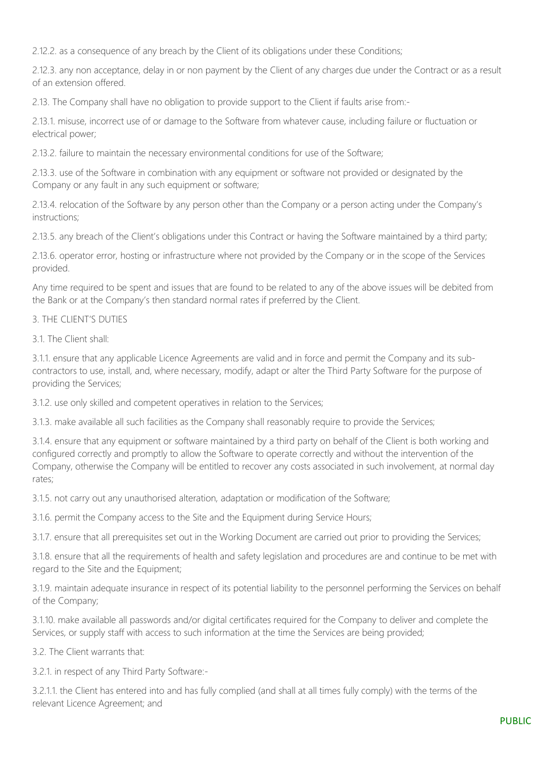2.12.2. as a consequence of any breach by the Client of its obligations under these Conditions;

2.12.3. any non acceptance, delay in or non payment by the Client of any charges due under the Contract or as a result of an extension offered.

2.13. The Company shall have no obligation to provide support to the Client if faults arise from:-

2.13.1. misuse, incorrect use of or damage to the Software from whatever cause, including failure or fluctuation or electrical power;

2.13.2. failure to maintain the necessary environmental conditions for use of the Software;

2.13.3. use of the Software in combination with any equipment or software not provided or designated by the Company or any fault in any such equipment or software;

2.13.4. relocation of the Software by any person other than the Company or a person acting under the Company's instructions;

2.13.5. any breach of the Client's obligations under this Contract or having the Software maintained by a third party;

2.13.6. operator error, hosting or infrastructure where not provided by the Company or in the scope of the Services provided.

Any time required to be spent and issues that are found to be related to any of the above issues will be debited from the Bank or at the Company's then standard normal rates if preferred by the Client.

#### 3. THE CLIENT'S DUTIES

3.1. The Client shall:

3.1.1. ensure that any applicable Licence Agreements are valid and in force and permit the Company and its subcontractors to use, install, and, where necessary, modify, adapt or alter the Third Party Software for the purpose of providing the Services;

3.1.2. use only skilled and competent operatives in relation to the Services;

3.1.3. make available all such facilities as the Company shall reasonably require to provide the Services;

3.1.4. ensure that any equipment or software maintained by a third party on behalf of the Client is both working and configured correctly and promptly to allow the Software to operate correctly and without the intervention of the Company, otherwise the Company will be entitled to recover any costs associated in such involvement, at normal day rates;

3.1.5. not carry out any unauthorised alteration, adaptation or modification of the Software;

3.1.6. permit the Company access to the Site and the Equipment during Service Hours;

3.1.7. ensure that all prerequisites set out in the Working Document are carried out prior to providing the Services;

3.1.8. ensure that all the requirements of health and safety legislation and procedures are and continue to be met with regard to the Site and the Equipment;

3.1.9. maintain adequate insurance in respect of its potential liability to the personnel performing the Services on behalf of the Company;

3.1.10. make available all passwords and/or digital certificates required for the Company to deliver and complete the Services, or supply staff with access to such information at the time the Services are being provided;

3.2. The Client warrants that:

3.2.1. in respect of any Third Party Software:-

3.2.1.1. the Client has entered into and has fully complied (and shall at all times fully comply) with the terms of the relevant Licence Agreement; and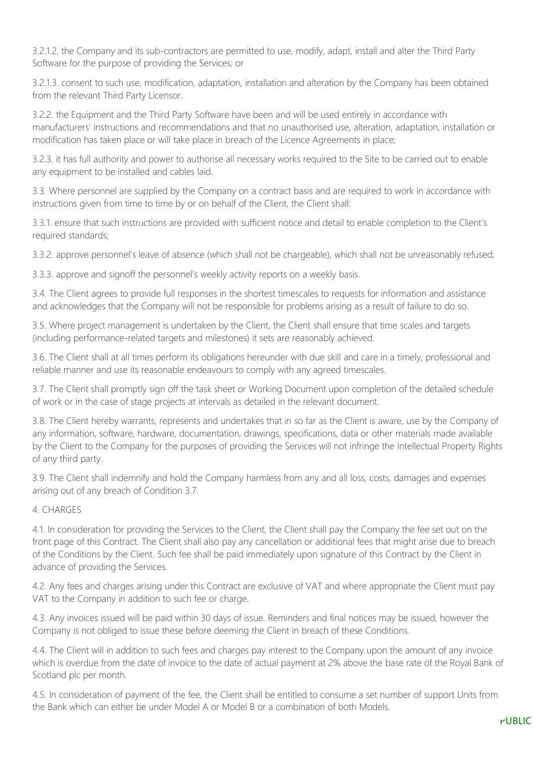3.2.1.2. the Company and its sub-contractors are permitted to use, modify, adapt, install and alter the Third Party Software for the purpose of providing the Services; or

3.2.1.3. consent to such use, modification, adaptation, installation and alteration by the Company has been obtained from the relevant Third Party Licensor.

3.2.2. the Equipment and the Third Party Software have been and will be used entirely in accordance with manufacturers' instructions and recommendations and that no unauthorised use, alteration, adaptation, installation or modification has taken place or will take place in breach of the Licence Agreements in place;

3.2.3. it has full authority and power to authorise all necessary works required to the Site to be carried out to enable any equipment to be installed and cables laid.

3.3. Where personnel are supplied by the Company on a contract basis and are required to work in accordance with instructions given from time to time by or on behalf of the Client, the Client shall:

3.3.1. ensure that such instructions are provided with sufficient notice and detail to enable completion to the Client's required standards;

3.3.2. approve personnel's leave of absence (which shall not be chargeable), which shall not be unreasonably refused;

3.3.3. approve and signoff the personnel's weekly activity reports on a weekly basis.

3.4. The Client agrees to provide full responses in the shortest timescales to requests for information and assistance and acknowledges that the Company will not be responsible for problems arising as a result of failure to do so.

3.5. Where project management is undertaken by the Client, the Client shall ensure that time scales and targets (including performance-related targets and milestones) it sets are reasonably achieved.

3.6. The Client shall at all times perform its obligations hereunder with due skill and care in a timely, professional and reliable manner and use its reasonable endeavours to comply with any agreed timescales.

3.7. The Client shall promptly sign off the task sheet or Working Document upon completion of the detailed schedule of work or in the case of stage projects at intervals as detailed in the relevant document.

3.8. The Client hereby warrants, represents and undertakes that in so far as the Client is aware, use by the Company of any information, software, hardware, documentation, drawings, specifications, data or other materials made available by the Client to the Company for the purposes of providing the Services will not infringe the Intellectual Property Rights of any third party.

3.9. The Client shall indemnify and hold the Company harmless from any and all loss, costs, damages and expenses arising out of any breach of Condition 3.7.

#### 4. CHARGES

4.1. In consideration for providing the Services to the Client, the Client shall pay the Company the fee set out on the front page of this Contract. The Client shall also pay any cancellation or additional fees that might arise due to breach of the Conditions by the Client. Such fee shall be paid immediately upon signature of this Contract by the Client in advance of providing the Services.

4.2. Any fees and charges arising under this Contract are exclusive of VAT and where appropriate the Client must pay VAT to the Company in addition to such fee or charge.

4.3. Any invoices issued will be paid within 30 days of issue. Reminders and final notices may be issued, however the Company is not obliged to issue these before deeming the Client in breach of these Conditions.

4.4. The Client will in addition to such fees and charges pay interest to the Company upon the amount of any invoice which is overdue from the date of invoice to the date of actual payment at 2% above the base rate of the Royal Bank of Scotland plc per month.

4.5. In consideration of payment of the fee, the Client shall be entitled to consume a set number of support Units from the Bank which can either be under Model A or Model B or a combination of both Models.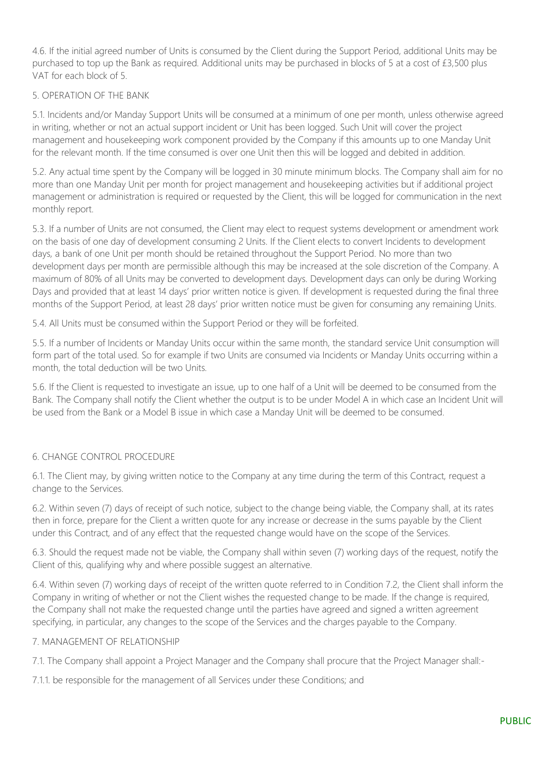4.6. If the initial agreed number of Units is consumed by the Client during the Support Period, additional Units may be purchased to top up the Bank as required. Additional units may be purchased in blocks of 5 at a cost of £3,500 plus VAT for each block of 5.

## 5. OPERATION OF THE BANK

5.1. Incidents and/or Manday Support Units will be consumed at a minimum of one per month, unless otherwise agreed in writing, whether or not an actual support incident or Unit has been logged. Such Unit will cover the project management and housekeeping work component provided by the Company if this amounts up to one Manday Unit for the relevant month. If the time consumed is over one Unit then this will be logged and debited in addition.

5.2. Any actual time spent by the Company will be logged in 30 minute minimum blocks. The Company shall aim for no more than one Manday Unit per month for project management and housekeeping activities but if additional project management or administration is required or requested by the Client, this will be logged for communication in the next monthly report.

5.3. If a number of Units are not consumed, the Client may elect to request systems development or amendment work on the basis of one day of development consuming 2 Units. If the Client elects to convert Incidents to development days, a bank of one Unit per month should be retained throughout the Support Period. No more than two development days per month are permissible although this may be increased at the sole discretion of the Company. A maximum of 80% of all Units may be converted to development days. Development days can only be during Working Days and provided that at least 14 days' prior written notice is given. If development is requested during the final three months of the Support Period, at least 28 days' prior written notice must be given for consuming any remaining Units.

5.4. All Units must be consumed within the Support Period or they will be forfeited.

5.5. If a number of Incidents or Manday Units occur within the same month, the standard service Unit consumption will form part of the total used. So for example if two Units are consumed via Incidents or Manday Units occurring within a month, the total deduction will be two Units.

5.6. If the Client is requested to investigate an issue, up to one half of a Unit will be deemed to be consumed from the Bank. The Company shall notify the Client whether the output is to be under Model A in which case an Incident Unit will be used from the Bank or a Model B issue in which case a Manday Unit will be deemed to be consumed.

#### 6. CHANGE CONTROL PROCEDURE

6.1. The Client may, by giving written notice to the Company at any time during the term of this Contract, request a change to the Services.

6.2. Within seven (7) days of receipt of such notice, subject to the change being viable, the Company shall, at its rates then in force, prepare for the Client a written quote for any increase or decrease in the sums payable by the Client under this Contract, and of any effect that the requested change would have on the scope of the Services.

6.3. Should the request made not be viable, the Company shall within seven (7) working days of the request, notify the Client of this, qualifying why and where possible suggest an alternative.

6.4. Within seven (7) working days of receipt of the written quote referred to in Condition 7.2, the Client shall inform the Company in writing of whether or not the Client wishes the requested change to be made. If the change is required, the Company shall not make the requested change until the parties have agreed and signed a written agreement specifying, in particular, any changes to the scope of the Services and the charges payable to the Company.

#### 7. MANAGEMENT OF RELATIONSHIP

7.1. The Company shall appoint a Project Manager and the Company shall procure that the Project Manager shall:-

7.1.1. be responsible for the management of all Services under these Conditions; and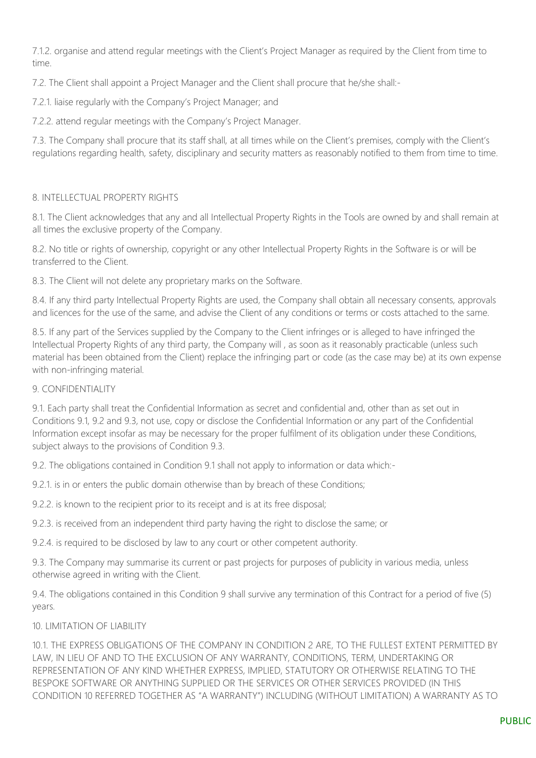7.1.2. organise and attend regular meetings with the Client's Project Manager as required by the Client from time to time.

7.2. The Client shall appoint a Project Manager and the Client shall procure that he/she shall:-

7.2.1. liaise regularly with the Company's Project Manager; and

7.2.2. attend regular meetings with the Company's Project Manager.

7.3. The Company shall procure that its staff shall, at all times while on the Client's premises, comply with the Client's regulations regarding health, safety, disciplinary and security matters as reasonably notified to them from time to time.

## 8. INTELLECTUAL PROPERTY RIGHTS

8.1. The Client acknowledges that any and all Intellectual Property Rights in the Tools are owned by and shall remain at all times the exclusive property of the Company.

8.2. No title or rights of ownership, copyright or any other Intellectual Property Rights in the Software is or will be transferred to the Client.

8.3. The Client will not delete any proprietary marks on the Software.

8.4. If any third party Intellectual Property Rights are used, the Company shall obtain all necessary consents, approvals and licences for the use of the same, and advise the Client of any conditions or terms or costs attached to the same.

8.5. If any part of the Services supplied by the Company to the Client infringes or is alleged to have infringed the Intellectual Property Rights of any third party, the Company will , as soon as it reasonably practicable (unless such material has been obtained from the Client) replace the infringing part or code (as the case may be) at its own expense with non-infringing material.

#### 9. CONFIDENTIALITY

9.1. Each party shall treat the Confidential Information as secret and confidential and, other than as set out in Conditions 9.1, 9.2 and 9.3, not use, copy or disclose the Confidential Information or any part of the Confidential Information except insofar as may be necessary for the proper fulfilment of its obligation under these Conditions, subject always to the provisions of Condition 9.3.

9.2. The obligations contained in Condition 9.1 shall not apply to information or data which:-

9.2.1. is in or enters the public domain otherwise than by breach of these Conditions;

9.2.2. is known to the recipient prior to its receipt and is at its free disposal;

9.2.3. is received from an independent third party having the right to disclose the same; or

9.2.4. is required to be disclosed by law to any court or other competent authority.

9.3. The Company may summarise its current or past projects for purposes of publicity in various media, unless otherwise agreed in writing with the Client.

9.4. The obligations contained in this Condition 9 shall survive any termination of this Contract for a period of five (5) years.

10. LIMITATION OF LIABILITY

10.1. THE EXPRESS OBLIGATIONS OF THE COMPANY IN CONDITION 2 ARE, TO THE FULLEST EXTENT PERMITTED BY LAW, IN LIEU OF AND TO THE EXCLUSION OF ANY WARRANTY, CONDITIONS, TERM, UNDERTAKING OR REPRESENTATION OF ANY KIND WHETHER EXPRESS, IMPLIED, STATUTORY OR OTHERWISE RELATING TO THE BESPOKE SOFTWARE OR ANYTHING SUPPLIED OR THE SERVICES OR OTHER SERVICES PROVIDED (IN THIS CONDITION 10 REFERRED TOGETHER AS "A WARRANTY") INCLUDING (WITHOUT LIMITATION) A WARRANTY AS TO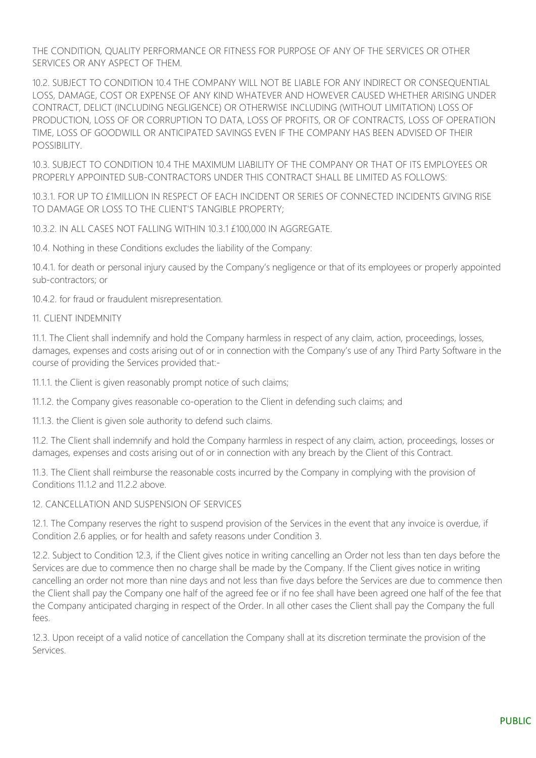THE CONDITION, QUALITY PERFORMANCE OR FITNESS FOR PURPOSE OF ANY OF THE SERVICES OR OTHER SERVICES OR ANY ASPECT OF THEM.

10.2. SUBJECT TO CONDITION 10.4 THE COMPANY WILL NOT BE LIABLE FOR ANY INDIRECT OR CONSEQUENTIAL LOSS, DAMAGE, COST OR EXPENSE OF ANY KIND WHATEVER AND HOWEVER CAUSED WHETHER ARISING UNDER CONTRACT, DELICT (INCLUDING NEGLIGENCE) OR OTHERWISE INCLUDING (WITHOUT LIMITATION) LOSS OF PRODUCTION, LOSS OF OR CORRUPTION TO DATA, LOSS OF PROFITS, OR OF CONTRACTS, LOSS OF OPERATION TIME, LOSS OF GOODWILL OR ANTICIPATED SAVINGS EVEN IF THE COMPANY HAS BEEN ADVISED OF THEIR POSSIBILITY.

10.3. SUBJECT TO CONDITION 10.4 THE MAXIMUM LIABILITY OF THE COMPANY OR THAT OF ITS EMPLOYEES OR PROPERLY APPOINTED SUB-CONTRACTORS UNDER THIS CONTRACT SHALL BE LIMITED AS FOLLOWS:

10.3.1. FOR UP TO £1MILLION IN RESPECT OF EACH INCIDENT OR SERIES OF CONNECTED INCIDENTS GIVING RISE TO DAMAGE OR LOSS TO THE CLIENT'S TANGIBLE PROPERTY;

10.3.2. IN ALL CASES NOT FALLING WITHIN 10.3.1 £100,000 IN AGGREGATE.

10.4. Nothing in these Conditions excludes the liability of the Company:

10.4.1. for death or personal injury caused by the Company's negligence or that of its employees or properly appointed sub-contractors; or

10.4.2. for fraud or fraudulent misrepresentation.

#### 11. CLIENT INDEMNITY

11.1. The Client shall indemnify and hold the Company harmless in respect of any claim, action, proceedings, losses, damages, expenses and costs arising out of or in connection with the Company's use of any Third Party Software in the course of providing the Services provided that:-

11.1.1. the Client is given reasonably prompt notice of such claims;

11.1.2. the Company gives reasonable co-operation to the Client in defending such claims; and

11.1.3. the Client is given sole authority to defend such claims.

11.2. The Client shall indemnify and hold the Company harmless in respect of any claim, action, proceedings, losses or damages, expenses and costs arising out of or in connection with any breach by the Client of this Contract.

11.3. The Client shall reimburse the reasonable costs incurred by the Company in complying with the provision of Conditions 11.1.2 and 11.2.2 above.

## 12. CANCELLATION AND SUSPENSION OF SERVICES

12.1. The Company reserves the right to suspend provision of the Services in the event that any invoice is overdue, if Condition 2.6 applies, or for health and safety reasons under Condition 3.

12.2. Subject to Condition 12.3, if the Client gives notice in writing cancelling an Order not less than ten days before the Services are due to commence then no charge shall be made by the Company. If the Client gives notice in writing cancelling an order not more than nine days and not less than five days before the Services are due to commence then the Client shall pay the Company one half of the agreed fee or if no fee shall have been agreed one half of the fee that the Company anticipated charging in respect of the Order. In all other cases the Client shall pay the Company the full fees.

12.3. Upon receipt of a valid notice of cancellation the Company shall at its discretion terminate the provision of the Services.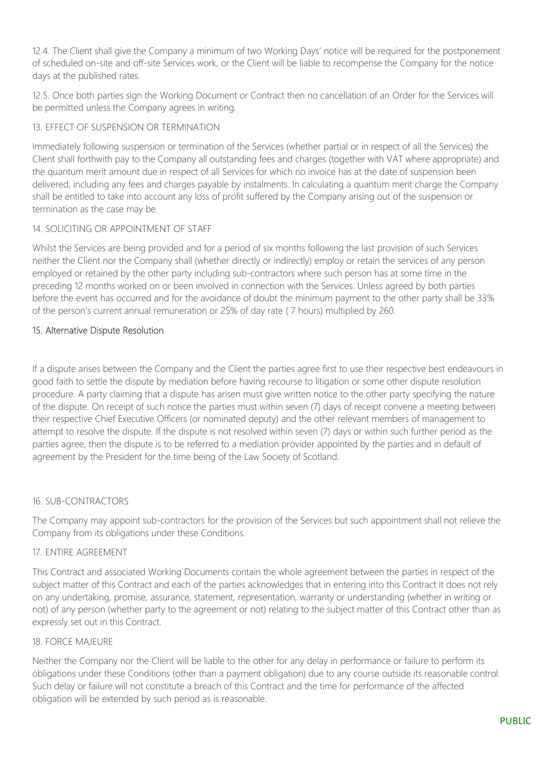12.4. The Client shall give the Company a minimum of two Working Days' notice will be required for the postponement of scheduled on-site and off-site Services work, or the Client will be liable to recompense the Company for the notice days at the published rates.

12.5. Once both parties sign the Working Document or Contract then no cancellation of an Order for the Services will be permitted unless the Company agrees in writing.

## 13. EFFECT OF SUSPENSION OR TERMINATION

Immediately following suspension or termination of the Services (whether partial or in respect of all the Services) the Client shall forthwith pay to the Company all outstanding fees and charges (together with VAT where appropriate) and the quantum merit amount due in respect of all Services for which no invoice has at the date of suspension been delivered, including any fees and charges payable by instalments. In calculating a quantum merit charge the Company shall be entitled to take into account any loss of profit suffered by the Company arising out of the suspension or termination as the case may be.

#### 14. SOLICITING OR APPOINTMENT OF STAFF

Whilst the Services are being provided and for a period of six months following the last provision of such Services neither the Client nor the Company shall (whether directly or indirectly) employ or retain the services of any person employed or retained by the other party including sub-contractors where such person has at some time in the preceding 12 months worked on or been involved in connection with the Services. Unless agreed by both parties before the event has occurred and for the avoidance of doubt the minimum payment to the other party shall be 33% of the person's current annual remuneration or 25% of day rate ( 7 hours) multiplied by 260.

## 15. Alternative Dispute Resolution

If a dispute arises between the Company and the Client the parties agree first to use their respective best endeavours in good faith to settle the dispute by mediation before having recourse to litigation or some other dispute resolution procedure. A party claiming that a dispute has arisen must give written notice to the other party specifying the nature of the dispute. On receipt of such notice the parties must within seven (7) days of receipt convene a meeting between their respective Chief Executive Officers (or nominated deputy) and the other relevant members of management to attempt to resolve the dispute. If the dispute is not resolved within seven (7) days or within such further period as the parties agree, then the dispute is to be referred to a mediation provider appointed by the parties and in default of agreement by the President for the time being of the Law Society of Scotland.

#### 16. SUB-CONTRACTORS

The Company may appoint sub-contractors for the provision of the Services but such appointment shall not relieve the Company from its obligations under these Conditions.

#### 17. ENTIRE AGREEMENT

This Contract and associated Working Documents contain the whole agreement between the parties in respect of the subject matter of this Contract and each of the parties acknowledges that in entering into this Contract it does not rely on any undertaking, promise, assurance, statement, representation, warranty or understanding (whether in writing or not) of any person (whether party to the agreement or not) relating to the subject matter of this Contract other than as expressly set out in this Contract.

#### 18. FORCE MAJEURE

Neither the Company nor the Client will be liable to the other for any delay in performance or failure to perform its obligations under these Conditions (other than a payment obligation) due to any course outside its reasonable control. Such delay or failure will not constitute a breach of this Contract and the time for performance of the affected obligation will be extended by such period as is reasonable.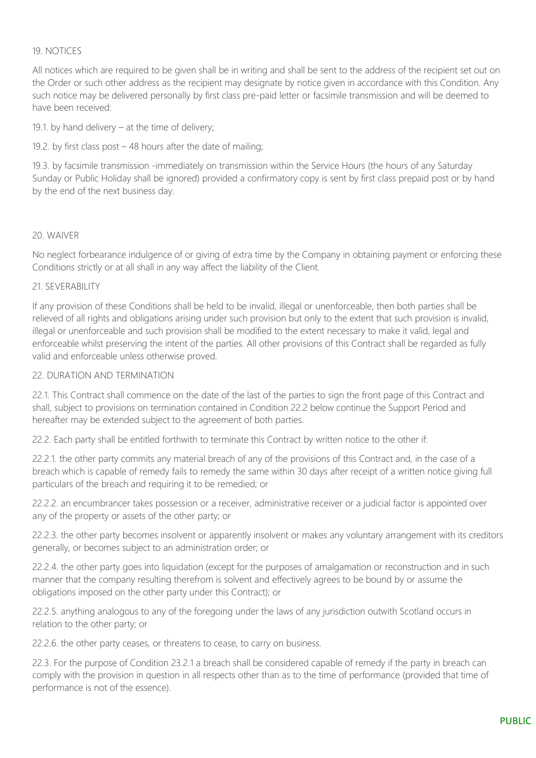## 19. NOTICES

All notices which are required to be given shall be in writing and shall be sent to the address of the recipient set out on the Order or such other address as the recipient may designate by notice given in accordance with this Condition. Any such notice may be delivered personally by first class pre-paid letter or facsimile transmission and will be deemed to have been received:

19.1. by hand delivery – at the time of delivery;

19.2. by first class post – 48 hours after the date of mailing;

19.3. by facsimile transmission -immediately on transmission within the Service Hours (the hours of any Saturday Sunday or Public Holiday shall be ignored) provided a confirmatory copy is sent by first class prepaid post or by hand by the end of the next business day.

#### 20. WAIVER

No neglect forbearance indulgence of or giving of extra time by the Company in obtaining payment or enforcing these Conditions strictly or at all shall in any way affect the liability of the Client.

#### 21. SEVERABILITY

If any provision of these Conditions shall be held to be invalid, illegal or unenforceable, then both parties shall be relieved of all rights and obligations arising under such provision but only to the extent that such provision is invalid, illegal or unenforceable and such provision shall be modified to the extent necessary to make it valid, legal and enforceable whilst preserving the intent of the parties. All other provisions of this Contract shall be regarded as fully valid and enforceable unless otherwise proved.

#### 22. DURATION AND TERMINATION

22.1. This Contract shall commence on the date of the last of the parties to sign the front page of this Contract and shall, subject to provisions on termination contained in Condition 22.2 below continue the Support Period and hereafter may be extended subject to the agreement of both parties.

22.2. Each party shall be entitled forthwith to terminate this Contract by written notice to the other if:

22.2.1. the other party commits any material breach of any of the provisions of this Contract and, in the case of a breach which is capable of remedy fails to remedy the same within 30 days after receipt of a written notice giving full particulars of the breach and requiring it to be remedied; or

22.2.2. an encumbrancer takes possession or a receiver, administrative receiver or a judicial factor is appointed over any of the property or assets of the other party; or

22.2.3. the other party becomes insolvent or apparently insolvent or makes any voluntary arrangement with its creditors generally, or becomes subject to an administration order; or

22.2.4. the other party goes into liquidation (except for the purposes of amalgamation or reconstruction and in such manner that the company resulting therefrom is solvent and effectively agrees to be bound by or assume the obligations imposed on the other party under this Contract); or

22.2.5. anything analogous to any of the foregoing under the laws of any jurisdiction outwith Scotland occurs in relation to the other party; or

22.2.6. the other party ceases, or threatens to cease, to carry on business.

22.3. For the purpose of Condition 23.2.1 a breach shall be considered capable of remedy if the party in breach can comply with the provision in question in all respects other than as to the time of performance (provided that time of performance is not of the essence).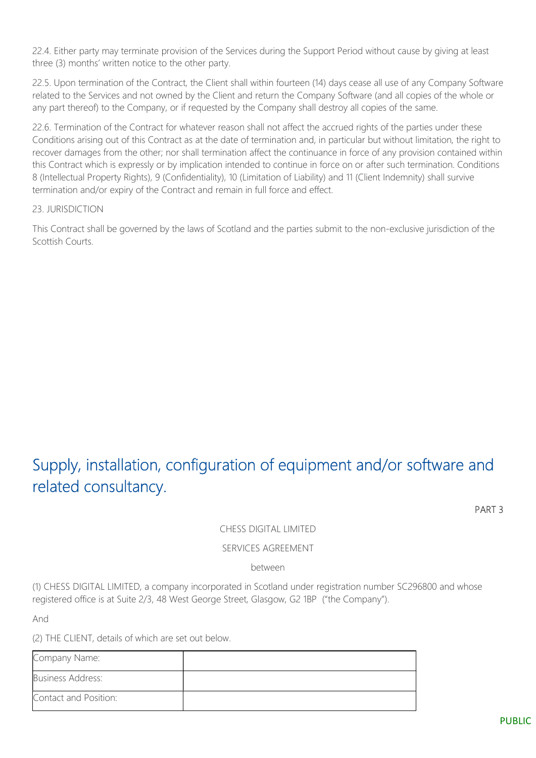22.4. Either party may terminate provision of the Services during the Support Period without cause by giving at least three (3) months' written notice to the other party.

22.5. Upon termination of the Contract, the Client shall within fourteen (14) days cease all use of any Company Software related to the Services and not owned by the Client and return the Company Software (and all copies of the whole or any part thereof) to the Company, or if requested by the Company shall destroy all copies of the same.

22.6. Termination of the Contract for whatever reason shall not affect the accrued rights of the parties under these Conditions arising out of this Contract as at the date of termination and, in particular but without limitation, the right to recover damages from the other; nor shall termination affect the continuance in force of any provision contained within this Contract which is expressly or by implication intended to continue in force on or after such termination. Conditions 8 (Intellectual Property Rights), 9 (Confidentiality), 10 (Limitation of Liability) and 11 (Client Indemnity) shall survive termination and/or expiry of the Contract and remain in full force and effect.

#### 23. JURISDICTION

This Contract shall be governed by the laws of Scotland and the parties submit to the non-exclusive jurisdiction of the Scottish Courts.

# Supply, installation, configuration of equipment and/or software and related consultancy.

PART 3

## CHESS DIGITAL LIMITED

#### SERVICES AGREEMENT

between

(1) CHESS DIGITAL LIMITED, a company incorporated in Scotland under registration number SC296800 and whose registered office is at Suite 2/3, 48 West George Street, Glasgow, G2 1BP ("the Company").

And

(2) THE CLIENT, details of which are set out below.

| Company Name:            |  |
|--------------------------|--|
| <b>Business Address:</b> |  |
| Contact and Position:    |  |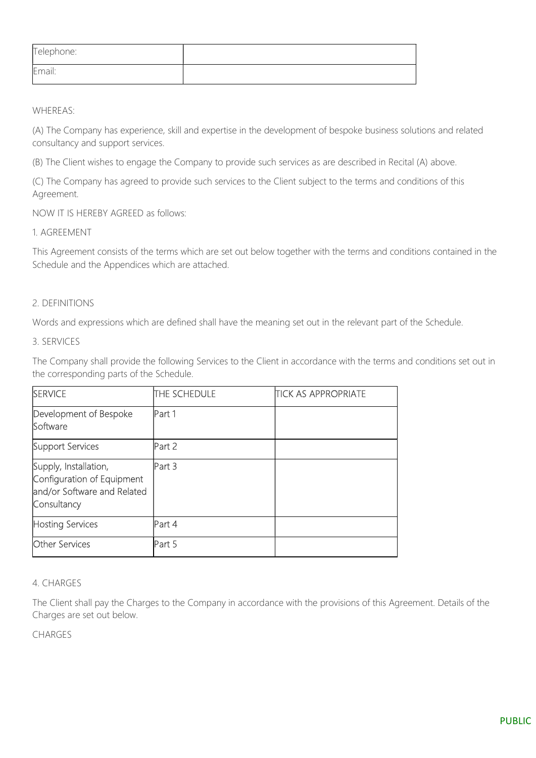| Telephone: |  |
|------------|--|
| Email:     |  |

WHEREAS:

(A) The Company has experience, skill and expertise in the development of bespoke business solutions and related consultancy and support services.

(B) The Client wishes to engage the Company to provide such services as are described in Recital (A) above.

(C) The Company has agreed to provide such services to the Client subject to the terms and conditions of this Agreement.

NOW IT IS HEREBY AGREED as follows:

1. AGREEMENT

This Agreement consists of the terms which are set out below together with the terms and conditions contained in the Schedule and the Appendices which are attached.

## 2. DEFINITIONS

Words and expressions which are defined shall have the meaning set out in the relevant part of the Schedule.

3. SERVICES

The Company shall provide the following Services to the Client in accordance with the terms and conditions set out in the corresponding parts of the Schedule.

| <b>SERVICE</b>                                                                                    | THE SCHEDULE | <b>TICK AS APPROPRIATE</b> |
|---------------------------------------------------------------------------------------------------|--------------|----------------------------|
| Development of Bespoke<br>Software                                                                | Part 1       |                            |
| Support Services                                                                                  | Part 2       |                            |
| Supply, Installation,<br>Configuration of Equipment<br>and/or Software and Related<br>Consultancy | Part 3       |                            |
| <b>Hosting Services</b>                                                                           | Part 4       |                            |
| <b>Other Services</b>                                                                             | Part 5       |                            |

#### 4. CHARGES

The Client shall pay the Charges to the Company in accordance with the provisions of this Agreement. Details of the Charges are set out below.

CHARGES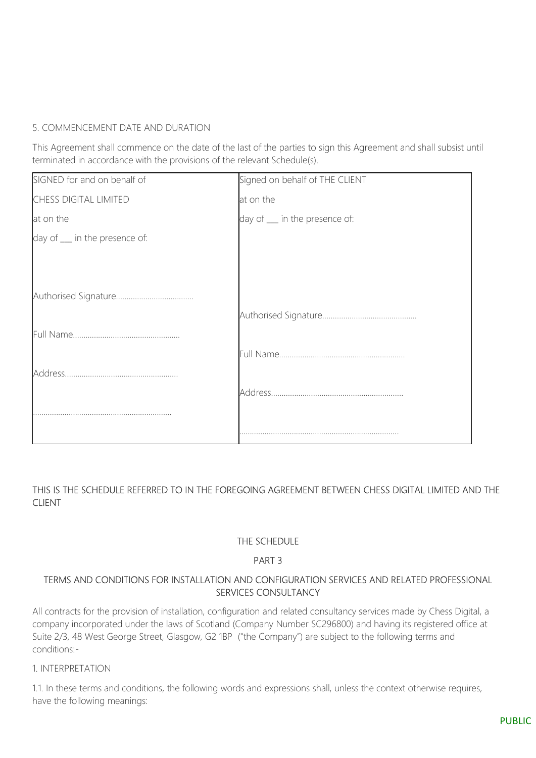## 5. COMMENCEMENT DATE AND DURATION

This Agreement shall commence on the date of the last of the parties to sign this Agreement and shall subsist until terminated in accordance with the provisions of the relevant Schedule(s).

| SIGNED for and on behalf of  | Signed on behalf of THE CLIENT |
|------------------------------|--------------------------------|
| <b>CHESS DIGITAL LIMITED</b> | at on the                      |
| at on the                    | day of __ in the presence of:  |
| day of _ in the presence of: |                                |
|                              |                                |
|                              |                                |
|                              |                                |
|                              |                                |
|                              |                                |
|                              |                                |
|                              |                                |
|                              |                                |
|                              |                                |
|                              |                                |

## THIS IS THE SCHEDULE REFERRED TO IN THE FOREGOING AGREEMENT BETWEEN CHESS DIGITAL LIMITED AND THE CLIENT

## THE SCHEDULE

## PART 3

## TERMS AND CONDITIONS FOR INSTALLATION AND CONFIGURATION SERVICES AND RELATED PROFESSIONAL SERVICES CONSULTANCY

All contracts for the provision of installation, configuration and related consultancy services made by Chess Digital, a company incorporated under the laws of Scotland (Company Number SC296800) and having its registered office at Suite 2/3, 48 West George Street, Glasgow, G2 1BP ("the Company") are subject to the following terms and conditions:-

#### 1. INTERPRETATION

1.1. In these terms and conditions, the following words and expressions shall, unless the context otherwise requires, have the following meanings: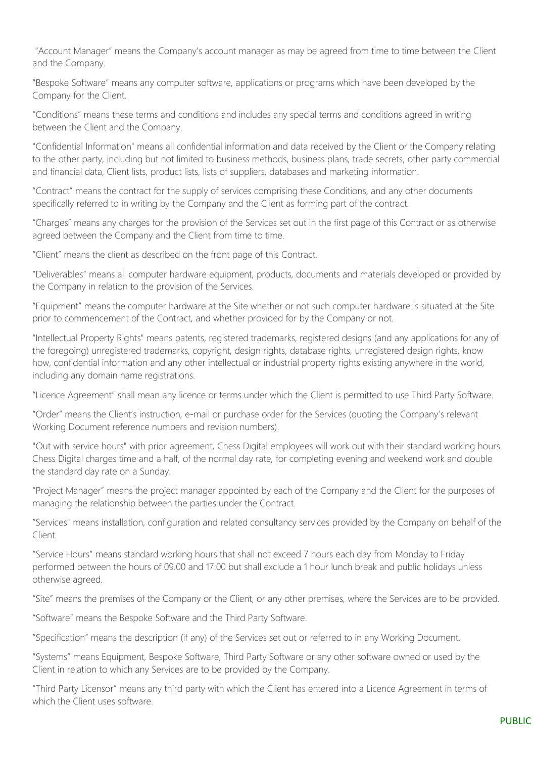"Account Manager" means the Company's account manager as may be agreed from time to time between the Client and the Company.

"Bespoke Software" means any computer software, applications or programs which have been developed by the Company for the Client.

"Conditions" means these terms and conditions and includes any special terms and conditions agreed in writing between the Client and the Company.

"Confidential Information" means all confidential information and data received by the Client or the Company relating to the other party, including but not limited to business methods, business plans, trade secrets, other party commercial and financial data, Client lists, product lists, lists of suppliers, databases and marketing information.

"Contract" means the contract for the supply of services comprising these Conditions, and any other documents specifically referred to in writing by the Company and the Client as forming part of the contract.

"Charges" means any charges for the provision of the Services set out in the first page of this Contract or as otherwise agreed between the Company and the Client from time to time.

"Client" means the client as described on the front page of this Contract.

"Deliverables" means all computer hardware equipment, products, documents and materials developed or provided by the Company in relation to the provision of the Services.

"Equipment" means the computer hardware at the Site whether or not such computer hardware is situated at the Site prior to commencement of the Contract, and whether provided for by the Company or not.

"Intellectual Property Rights" means patents, registered trademarks, registered designs (and any applications for any of the foregoing) unregistered trademarks, copyright, design rights, database rights, unregistered design rights, know how, confidential information and any other intellectual or industrial property rights existing anywhere in the world, including any domain name registrations.

"Licence Agreement" shall mean any licence or terms under which the Client is permitted to use Third Party Software.

"Order" means the Client's instruction, e-mail or purchase order for the Services (quoting the Company's relevant Working Document reference numbers and revision numbers).

"Out with service hours" with prior agreement, Chess Digital employees will work out with their standard working hours. Chess Digital charges time and a half, of the normal day rate, for completing evening and weekend work and double the standard day rate on a Sunday.

"Project Manager" means the project manager appointed by each of the Company and the Client for the purposes of managing the relationship between the parties under the Contract.

"Services" means installation, configuration and related consultancy services provided by the Company on behalf of the Client.

"Service Hours" means standard working hours that shall not exceed 7 hours each day from Monday to Friday performed between the hours of 09.00 and 17.00 but shall exclude a 1 hour lunch break and public holidays unless otherwise agreed.

"Site" means the premises of the Company or the Client, or any other premises, where the Services are to be provided.

"Software" means the Bespoke Software and the Third Party Software.

"Specification" means the description (if any) of the Services set out or referred to in any Working Document.

"Systems" means Equipment, Bespoke Software, Third Party Software or any other software owned or used by the Client in relation to which any Services are to be provided by the Company.

"Third Party Licensor" means any third party with which the Client has entered into a Licence Agreement in terms of which the Client uses software.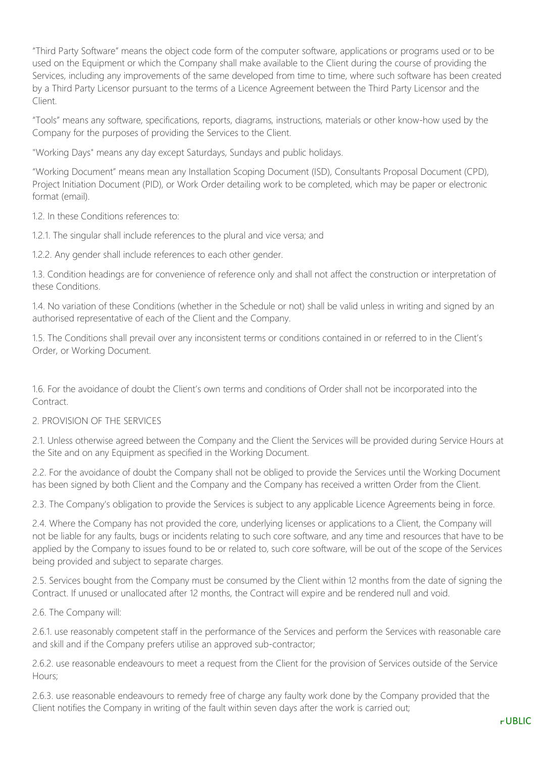"Third Party Software" means the object code form of the computer software, applications or programs used or to be used on the Equipment or which the Company shall make available to the Client during the course of providing the Services, including any improvements of the same developed from time to time, where such software has been created by a Third Party Licensor pursuant to the terms of a Licence Agreement between the Third Party Licensor and the Client.

"Tools" means any software, specifications, reports, diagrams, instructions, materials or other know-how used by the Company for the purposes of providing the Services to the Client.

"Working Days" means any day except Saturdays, Sundays and public holidays.

"Working Document" means mean any Installation Scoping Document (ISD), Consultants Proposal Document (CPD), Project Initiation Document (PID), or Work Order detailing work to be completed, which may be paper or electronic format (email).

1.2. In these Conditions references to:

1.2.1. The singular shall include references to the plural and vice versa; and

1.2.2. Any gender shall include references to each other gender.

1.3. Condition headings are for convenience of reference only and shall not affect the construction or interpretation of these Conditions.

1.4. No variation of these Conditions (whether in the Schedule or not) shall be valid unless in writing and signed by an authorised representative of each of the Client and the Company.

1.5. The Conditions shall prevail over any inconsistent terms or conditions contained in or referred to in the Client's Order, or Working Document.

1.6. For the avoidance of doubt the Client's own terms and conditions of Order shall not be incorporated into the Contract

## 2. PROVISION OF THE SERVICES

2.1. Unless otherwise agreed between the Company and the Client the Services will be provided during Service Hours at the Site and on any Equipment as specified in the Working Document.

2.2. For the avoidance of doubt the Company shall not be obliged to provide the Services until the Working Document has been signed by both Client and the Company and the Company has received a written Order from the Client.

2.3. The Company's obligation to provide the Services is subject to any applicable Licence Agreements being in force.

2.4. Where the Company has not provided the core, underlying licenses or applications to a Client, the Company will not be liable for any faults, bugs or incidents relating to such core software, and any time and resources that have to be applied by the Company to issues found to be or related to, such core software, will be out of the scope of the Services being provided and subject to separate charges.

2.5. Services bought from the Company must be consumed by the Client within 12 months from the date of signing the Contract. If unused or unallocated after 12 months, the Contract will expire and be rendered null and void.

2.6. The Company will:

2.6.1. use reasonably competent staff in the performance of the Services and perform the Services with reasonable care and skill and if the Company prefers utilise an approved sub-contractor;

2.6.2. use reasonable endeavours to meet a request from the Client for the provision of Services outside of the Service Hours;

2.6.3. use reasonable endeavours to remedy free of charge any faulty work done by the Company provided that the Client notifies the Company in writing of the fault within seven days after the work is carried out;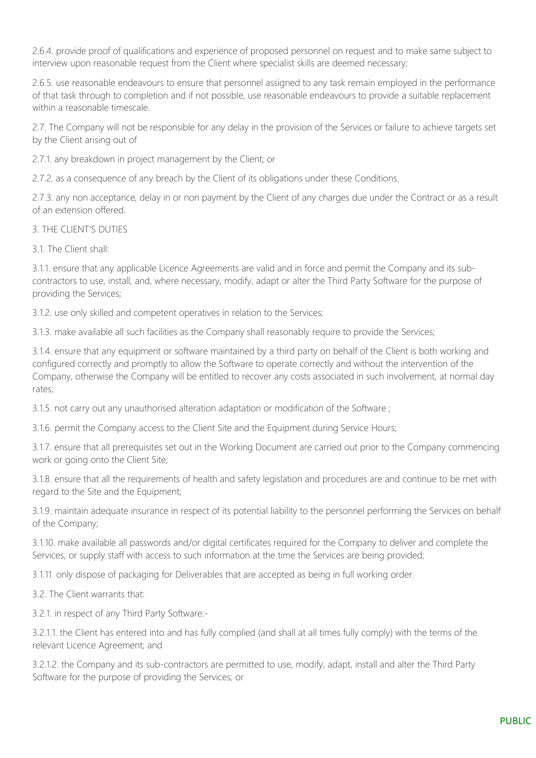2.6.4. provide proof of qualifications and experience of proposed personnel on request and to make same subject to interview upon reasonable request from the Client where specialist skills are deemed necessary;

2.6.5. use reasonable endeavours to ensure that personnel assigned to any task remain employed in the performance of that task through to completion and if not possible, use reasonable endeavours to provide a suitable replacement within a reasonable timescale.

2.7. The Company will not be responsible for any delay in the provision of the Services or failure to achieve targets set by the Client arising out of

2.7.1. any breakdown in project management by the Client; or

2.7.2. as a consequence of any breach by the Client of its obligations under these Conditions.

2.7.3. any non acceptance, delay in or non payment by the Client of any charges due under the Contract or as a result of an extension offered.

#### 3. THE CLIENT'S DUTIES

3.1. The Client shall:

3.1.1. ensure that any applicable Licence Agreements are valid and in force and permit the Company and its subcontractors to use, install, and, where necessary, modify, adapt or alter the Third Party Software for the purpose of providing the Services;

3.1.2. use only skilled and competent operatives in relation to the Services;

3.1.3. make available all such facilities as the Company shall reasonably require to provide the Services;

3.1.4. ensure that any equipment or software maintained by a third party on behalf of the Client is both working and configured correctly and promptly to allow the Software to operate correctly and without the intervention of the Company, otherwise the Company will be entitled to recover any costs associated in such involvement, at normal day rates;

3.1.5. not carry out any unauthorised alteration adaptation or modification of the Software ;

3.1.6. permit the Company access to the Client Site and the Equipment during Service Hours;

3.1.7. ensure that all prerequisites set out in the Working Document are carried out prior to the Company commencing work or going onto the Client Site;

3.1.8. ensure that all the requirements of health and safety legislation and procedures are and continue to be met with regard to the Site and the Equipment;

3.1.9. maintain adequate insurance in respect of its potential liability to the personnel performing the Services on behalf of the Company;

3.1.10. make available all passwords and/or digital certificates required for the Company to deliver and complete the Services, or supply staff with access to such information at the time the Services are being provided;

3.1.11. only dispose of packaging for Deliverables that are accepted as being in full working order.

3.2. The Client warrants that:

3.2.1. in respect of any Third Party Software:-

3.2.1.1. the Client has entered into and has fully complied (and shall at all times fully comply) with the terms of the relevant Licence Agreement; and

3.2.1.2. the Company and its sub-contractors are permitted to use, modify, adapt, install and alter the Third Party Software for the purpose of providing the Services; or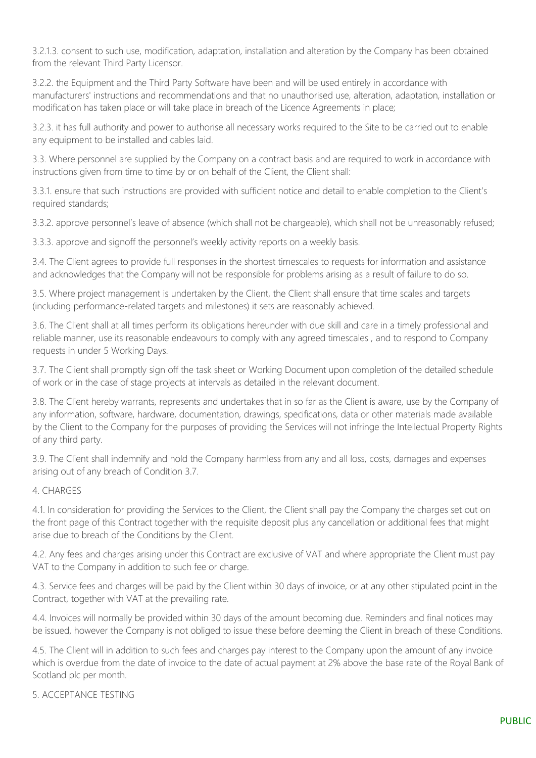3.2.1.3. consent to such use, modification, adaptation, installation and alteration by the Company has been obtained from the relevant Third Party Licensor.

3.2.2. the Equipment and the Third Party Software have been and will be used entirely in accordance with manufacturers' instructions and recommendations and that no unauthorised use, alteration, adaptation, installation or modification has taken place or will take place in breach of the Licence Agreements in place;

3.2.3. it has full authority and power to authorise all necessary works required to the Site to be carried out to enable any equipment to be installed and cables laid.

3.3. Where personnel are supplied by the Company on a contract basis and are required to work in accordance with instructions given from time to time by or on behalf of the Client, the Client shall:

3.3.1. ensure that such instructions are provided with sufficient notice and detail to enable completion to the Client's required standards;

3.3.2. approve personnel's leave of absence (which shall not be chargeable), which shall not be unreasonably refused;

3.3.3. approve and signoff the personnel's weekly activity reports on a weekly basis.

3.4. The Client agrees to provide full responses in the shortest timescales to requests for information and assistance and acknowledges that the Company will not be responsible for problems arising as a result of failure to do so.

3.5. Where project management is undertaken by the Client, the Client shall ensure that time scales and targets (including performance-related targets and milestones) it sets are reasonably achieved.

3.6. The Client shall at all times perform its obligations hereunder with due skill and care in a timely professional and reliable manner, use its reasonable endeavours to comply with any agreed timescales , and to respond to Company requests in under 5 Working Days.

3.7. The Client shall promptly sign off the task sheet or Working Document upon completion of the detailed schedule of work or in the case of stage projects at intervals as detailed in the relevant document.

3.8. The Client hereby warrants, represents and undertakes that in so far as the Client is aware, use by the Company of any information, software, hardware, documentation, drawings, specifications, data or other materials made available by the Client to the Company for the purposes of providing the Services will not infringe the Intellectual Property Rights of any third party.

3.9. The Client shall indemnify and hold the Company harmless from any and all loss, costs, damages and expenses arising out of any breach of Condition 3.7.

## 4. CHARGES

4.1. In consideration for providing the Services to the Client, the Client shall pay the Company the charges set out on the front page of this Contract together with the requisite deposit plus any cancellation or additional fees that might arise due to breach of the Conditions by the Client.

4.2. Any fees and charges arising under this Contract are exclusive of VAT and where appropriate the Client must pay VAT to the Company in addition to such fee or charge.

4.3. Service fees and charges will be paid by the Client within 30 days of invoice, or at any other stipulated point in the Contract, together with VAT at the prevailing rate.

4.4. Invoices will normally be provided within 30 days of the amount becoming due. Reminders and final notices may be issued, however the Company is not obliged to issue these before deeming the Client in breach of these Conditions.

4.5. The Client will in addition to such fees and charges pay interest to the Company upon the amount of any invoice which is overdue from the date of invoice to the date of actual payment at 2% above the base rate of the Royal Bank of Scotland plc per month.

## 5. ACCEPTANCE TESTING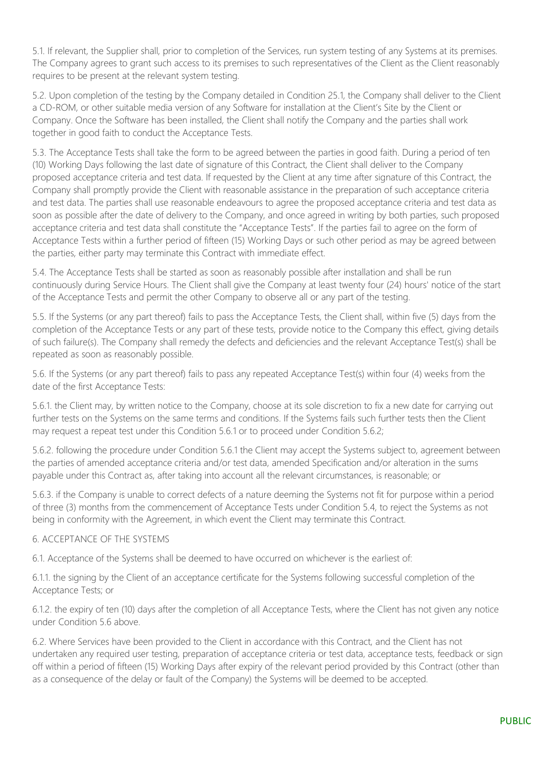5.1. If relevant, the Supplier shall, prior to completion of the Services, run system testing of any Systems at its premises. The Company agrees to grant such access to its premises to such representatives of the Client as the Client reasonably requires to be present at the relevant system testing.

5.2. Upon completion of the testing by the Company detailed in Condition 25.1, the Company shall deliver to the Client a CD-ROM, or other suitable media version of any Software for installation at the Client's Site by the Client or Company. Once the Software has been installed, the Client shall notify the Company and the parties shall work together in good faith to conduct the Acceptance Tests.

5.3. The Acceptance Tests shall take the form to be agreed between the parties in good faith. During a period of ten (10) Working Days following the last date of signature of this Contract, the Client shall deliver to the Company proposed acceptance criteria and test data. If requested by the Client at any time after signature of this Contract, the Company shall promptly provide the Client with reasonable assistance in the preparation of such acceptance criteria and test data. The parties shall use reasonable endeavours to agree the proposed acceptance criteria and test data as soon as possible after the date of delivery to the Company, and once agreed in writing by both parties, such proposed acceptance criteria and test data shall constitute the "Acceptance Tests". If the parties fail to agree on the form of Acceptance Tests within a further period of fifteen (15) Working Days or such other period as may be agreed between the parties, either party may terminate this Contract with immediate effect.

5.4. The Acceptance Tests shall be started as soon as reasonably possible after installation and shall be run continuously during Service Hours. The Client shall give the Company at least twenty four (24) hours' notice of the start of the Acceptance Tests and permit the other Company to observe all or any part of the testing.

5.5. If the Systems (or any part thereof) fails to pass the Acceptance Tests, the Client shall, within five (5) days from the completion of the Acceptance Tests or any part of these tests, provide notice to the Company this effect, giving details of such failure(s). The Company shall remedy the defects and deficiencies and the relevant Acceptance Test(s) shall be repeated as soon as reasonably possible.

5.6. If the Systems (or any part thereof) fails to pass any repeated Acceptance Test(s) within four (4) weeks from the date of the first Acceptance Tests:

5.6.1. the Client may, by written notice to the Company, choose at its sole discretion to fix a new date for carrying out further tests on the Systems on the same terms and conditions. If the Systems fails such further tests then the Client may request a repeat test under this Condition 5.6.1 or to proceed under Condition 5.6.2;

5.6.2. following the procedure under Condition 5.6.1 the Client may accept the Systems subject to, agreement between the parties of amended acceptance criteria and/or test data, amended Specification and/or alteration in the sums payable under this Contract as, after taking into account all the relevant circumstances, is reasonable; or

5.6.3. if the Company is unable to correct defects of a nature deeming the Systems not fit for purpose within a period of three (3) months from the commencement of Acceptance Tests under Condition 5.4, to reject the Systems as not being in conformity with the Agreement, in which event the Client may terminate this Contract.

## 6. ACCEPTANCE OF THE SYSTEMS

6.1. Acceptance of the Systems shall be deemed to have occurred on whichever is the earliest of:

6.1.1. the signing by the Client of an acceptance certificate for the Systems following successful completion of the Acceptance Tests; or

6.1.2. the expiry of ten (10) days after the completion of all Acceptance Tests, where the Client has not given any notice under Condition 5.6 above

6.2. Where Services have been provided to the Client in accordance with this Contract, and the Client has not undertaken any required user testing, preparation of acceptance criteria or test data, acceptance tests, feedback or sign off within a period of fifteen (15) Working Days after expiry of the relevant period provided by this Contract (other than as a consequence of the delay or fault of the Company) the Systems will be deemed to be accepted.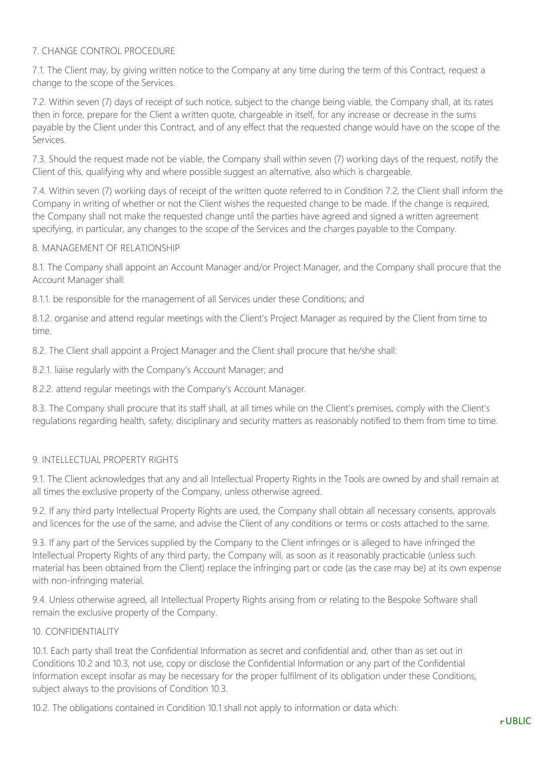## 7. CHANGE CONTROL PROCEDURE

7.1. The Client may, by giving written notice to the Company at any time during the term of this Contract, request a change to the scope of the Services.

7.2. Within seven (7) days of receipt of such notice, subject to the change being viable, the Company shall, at its rates then in force, prepare for the Client a written quote, chargeable in itself, for any increase or decrease in the sums payable by the Client under this Contract, and of any effect that the requested change would have on the scope of the Services.

7.3. Should the request made not be viable, the Company shall within seven (7) working days of the request, notify the Client of this, qualifying why and where possible suggest an alternative, also which is chargeable.

7.4. Within seven (7) working days of receipt of the written quote referred to in Condition 7.2, the Client shall inform the Company in writing of whether or not the Client wishes the requested change to be made. If the change is required, the Company shall not make the requested change until the parties have agreed and signed a written agreement specifying, in particular, any changes to the scope of the Services and the charges payable to the Company.

#### 8. MANAGEMENT OF RELATIONSHIP

8.1. The Company shall appoint an Account Manager and/or Project Manager, and the Company shall procure that the Account Manager shall:

8.1.1. be responsible for the management of all Services under these Conditions; and

8.1.2. organise and attend regular meetings with the Client's Project Manager as required by the Client from time to time.

8.2. The Client shall appoint a Project Manager and the Client shall procure that he/she shall:

8.2.1. liaise regularly with the Company's Account Manager; and

8.2.2. attend regular meetings with the Company's Account Manager.

8.3. The Company shall procure that its staff shall, at all times while on the Client's premises, comply with the Client's regulations regarding health, safety, disciplinary and security matters as reasonably notified to them from time to time.

#### 9. INTELLECTUAL PROPERTY RIGHTS

9.1. The Client acknowledges that any and all Intellectual Property Rights in the Tools are owned by and shall remain at all times the exclusive property of the Company, unless otherwise agreed.

9.2. If any third party Intellectual Property Rights are used, the Company shall obtain all necessary consents, approvals and licences for the use of the same, and advise the Client of any conditions or terms or costs attached to the same.

9.3. If any part of the Services supplied by the Company to the Client infringes or is alleged to have infringed the Intellectual Property Rights of any third party, the Company will, as soon as it reasonably practicable (unless such material has been obtained from the Client) replace the infringing part or code (as the case may be) at its own expense with non-infringing material.

9.4. Unless otherwise agreed, all Intellectual Property Rights arising from or relating to the Bespoke Software shall remain the exclusive property of the Company.

#### 10. CONFIDENTIALITY

10.1. Each party shall treat the Confidential Information as secret and confidential and, other than as set out in Conditions 10.2 and 10.3, not use, copy or disclose the Confidential Information or any part of the Confidential Information except insofar as may be necessary for the proper fulfilment of its obligation under these Conditions, subject always to the provisions of Condition 10.3.

10.2. The obligations contained in Condition 10.1 shall not apply to information or data which: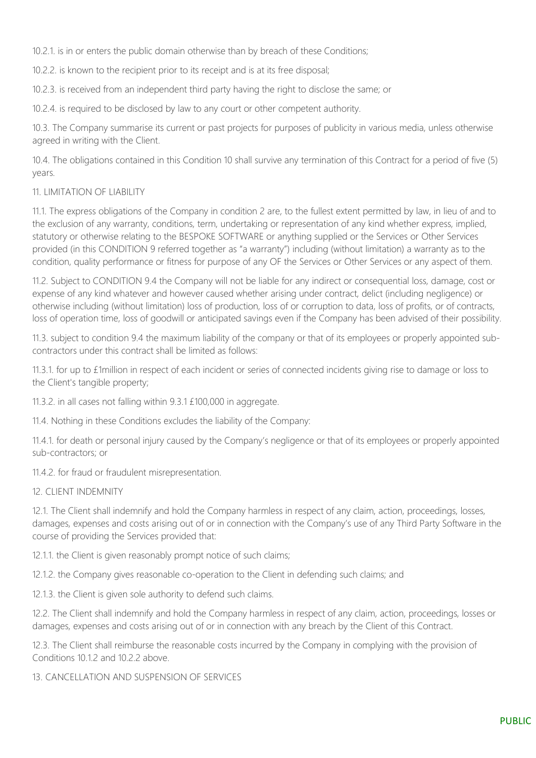10.2.1. is in or enters the public domain otherwise than by breach of these Conditions;

10.2.2. is known to the recipient prior to its receipt and is at its free disposal;

10.2.3. is received from an independent third party having the right to disclose the same; or

10.2.4. is required to be disclosed by law to any court or other competent authority.

10.3. The Company summarise its current or past projects for purposes of publicity in various media, unless otherwise agreed in writing with the Client.

10.4. The obligations contained in this Condition 10 shall survive any termination of this Contract for a period of five (5) years.

## 11. LIMITATION OF LIABILITY

11.1. The express obligations of the Company in condition 2 are, to the fullest extent permitted by law, in lieu of and to the exclusion of any warranty, conditions, term, undertaking or representation of any kind whether express, implied, statutory or otherwise relating to the BESPOKE SOFTWARE or anything supplied or the Services or Other Services provided (in this CONDITION 9 referred together as "a warranty") including (without limitation) a warranty as to the condition, quality performance or fitness for purpose of any OF the Services or Other Services or any aspect of them.

11.2. Subject to CONDITION 9.4 the Company will not be liable for any indirect or consequential loss, damage, cost or expense of any kind whatever and however caused whether arising under contract, delict (including negligence) or otherwise including (without limitation) loss of production, loss of or corruption to data, loss of profits, or of contracts, loss of operation time, loss of goodwill or anticipated savings even if the Company has been advised of their possibility.

11.3. subject to condition 9.4 the maximum liability of the company or that of its employees or properly appointed subcontractors under this contract shall be limited as follows:

11.3.1. for up to £1million in respect of each incident or series of connected incidents giving rise to damage or loss to the Client's tangible property;

11.3.2. in all cases not falling within 9.3.1 £100,000 in aggregate.

11.4. Nothing in these Conditions excludes the liability of the Company:

11.4.1. for death or personal injury caused by the Company's negligence or that of its employees or properly appointed sub-contractors; or

11.4.2. for fraud or fraudulent misrepresentation.

#### 12. CLIENT INDEMNITY

12.1. The Client shall indemnify and hold the Company harmless in respect of any claim, action, proceedings, losses, damages, expenses and costs arising out of or in connection with the Company's use of any Third Party Software in the course of providing the Services provided that:

12.1.1. the Client is given reasonably prompt notice of such claims;

12.1.2. the Company gives reasonable co-operation to the Client in defending such claims; and

12.1.3. the Client is given sole authority to defend such claims.

12.2. The Client shall indemnify and hold the Company harmless in respect of any claim, action, proceedings, losses or damages, expenses and costs arising out of or in connection with any breach by the Client of this Contract.

12.3. The Client shall reimburse the reasonable costs incurred by the Company in complying with the provision of Conditions 10.1.2 and 10.2.2 above.

13. CANCELLATION AND SUSPENSION OF SERVICES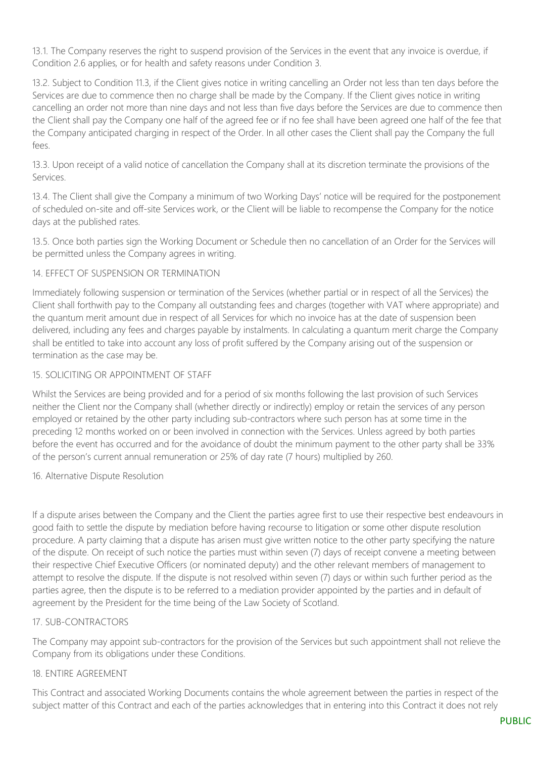13.1. The Company reserves the right to suspend provision of the Services in the event that any invoice is overdue, if Condition 2.6 applies, or for health and safety reasons under Condition 3.

13.2. Subject to Condition 11.3, if the Client gives notice in writing cancelling an Order not less than ten days before the Services are due to commence then no charge shall be made by the Company. If the Client gives notice in writing cancelling an order not more than nine days and not less than five days before the Services are due to commence then the Client shall pay the Company one half of the agreed fee or if no fee shall have been agreed one half of the fee that the Company anticipated charging in respect of the Order. In all other cases the Client shall pay the Company the full fees.

13.3. Upon receipt of a valid notice of cancellation the Company shall at its discretion terminate the provisions of the Services.

13.4. The Client shall give the Company a minimum of two Working Days' notice will be required for the postponement of scheduled on-site and off-site Services work, or the Client will be liable to recompense the Company for the notice days at the published rates.

13.5. Once both parties sign the Working Document or Schedule then no cancellation of an Order for the Services will be permitted unless the Company agrees in writing.

## 14. EFFECT OF SUSPENSION OR TERMINATION

Immediately following suspension or termination of the Services (whether partial or in respect of all the Services) the Client shall forthwith pay to the Company all outstanding fees and charges (together with VAT where appropriate) and the quantum merit amount due in respect of all Services for which no invoice has at the date of suspension been delivered, including any fees and charges payable by instalments. In calculating a quantum merit charge the Company shall be entitled to take into account any loss of profit suffered by the Company arising out of the suspension or termination as the case may be.

#### 15. SOLICITING OR APPOINTMENT OF STAFF

Whilst the Services are being provided and for a period of six months following the last provision of such Services neither the Client nor the Company shall (whether directly or indirectly) employ or retain the services of any person employed or retained by the other party including sub-contractors where such person has at some time in the preceding 12 months worked on or been involved in connection with the Services. Unless agreed by both parties before the event has occurred and for the avoidance of doubt the minimum payment to the other party shall be 33% of the person's current annual remuneration or 25% of day rate (7 hours) multiplied by 260.

#### 16. Alternative Dispute Resolution

If a dispute arises between the Company and the Client the parties agree first to use their respective best endeavours in good faith to settle the dispute by mediation before having recourse to litigation or some other dispute resolution procedure. A party claiming that a dispute has arisen must give written notice to the other party specifying the nature of the dispute. On receipt of such notice the parties must within seven (7) days of receipt convene a meeting between their respective Chief Executive Officers (or nominated deputy) and the other relevant members of management to attempt to resolve the dispute. If the dispute is not resolved within seven (7) days or within such further period as the parties agree, then the dispute is to be referred to a mediation provider appointed by the parties and in default of agreement by the President for the time being of the Law Society of Scotland.

## 17. SUB-CONTRACTORS

The Company may appoint sub-contractors for the provision of the Services but such appointment shall not relieve the Company from its obligations under these Conditions.

#### 18. ENTIRE AGREEMENT

This Contract and associated Working Documents contains the whole agreement between the parties in respect of the subject matter of this Contract and each of the parties acknowledges that in entering into this Contract it does not rely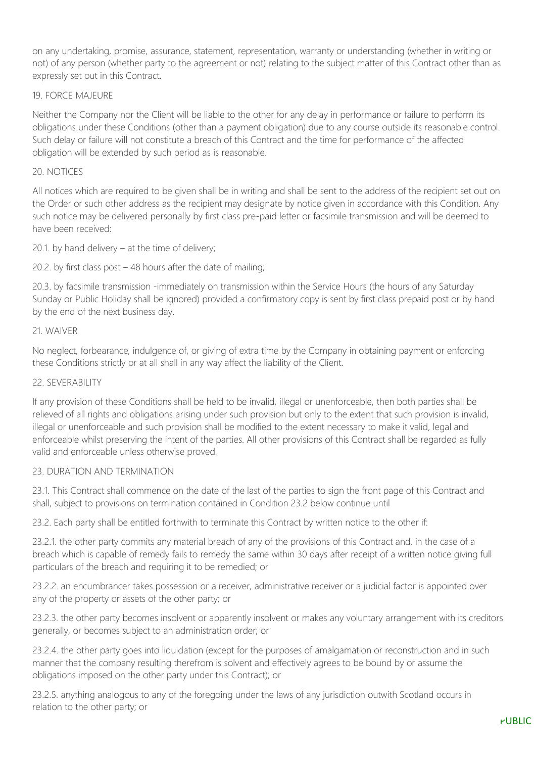on any undertaking, promise, assurance, statement, representation, warranty or understanding (whether in writing or not) of any person (whether party to the agreement or not) relating to the subject matter of this Contract other than as expressly set out in this Contract.

## 19. FORCE MAJEURE

Neither the Company nor the Client will be liable to the other for any delay in performance or failure to perform its obligations under these Conditions (other than a payment obligation) due to any course outside its reasonable control. Such delay or failure will not constitute a breach of this Contract and the time for performance of the affected obligation will be extended by such period as is reasonable.

#### 20. NOTICES

All notices which are required to be given shall be in writing and shall be sent to the address of the recipient set out on the Order or such other address as the recipient may designate by notice given in accordance with this Condition. Any such notice may be delivered personally by first class pre-paid letter or facsimile transmission and will be deemed to have been received:

20.1. by hand delivery  $-$  at the time of delivery;

20.2. by first class post – 48 hours after the date of mailing;

20.3. by facsimile transmission -immediately on transmission within the Service Hours (the hours of any Saturday Sunday or Public Holiday shall be ignored) provided a confirmatory copy is sent by first class prepaid post or by hand by the end of the next business day.

#### 21. WAIVER

No neglect, forbearance, indulgence of, or giving of extra time by the Company in obtaining payment or enforcing these Conditions strictly or at all shall in any way affect the liability of the Client.

#### 22. SEVERABILITY

If any provision of these Conditions shall be held to be invalid, illegal or unenforceable, then both parties shall be relieved of all rights and obligations arising under such provision but only to the extent that such provision is invalid, illegal or unenforceable and such provision shall be modified to the extent necessary to make it valid, legal and enforceable whilst preserving the intent of the parties. All other provisions of this Contract shall be regarded as fully valid and enforceable unless otherwise proved.

#### 23. DURATION AND TERMINATION

23.1. This Contract shall commence on the date of the last of the parties to sign the front page of this Contract and shall, subject to provisions on termination contained in Condition 23.2 below continue until

23.2. Each party shall be entitled forthwith to terminate this Contract by written notice to the other if:

23.2.1. the other party commits any material breach of any of the provisions of this Contract and, in the case of a breach which is capable of remedy fails to remedy the same within 30 days after receipt of a written notice giving full particulars of the breach and requiring it to be remedied; or

23.2.2. an encumbrancer takes possession or a receiver, administrative receiver or a judicial factor is appointed over any of the property or assets of the other party; or

23.2.3. the other party becomes insolvent or apparently insolvent or makes any voluntary arrangement with its creditors generally, or becomes subject to an administration order; or

23.2.4. the other party goes into liquidation (except for the purposes of amalgamation or reconstruction and in such manner that the company resulting therefrom is solvent and effectively agrees to be bound by or assume the obligations imposed on the other party under this Contract); or

23.2.5. anything analogous to any of the foregoing under the laws of any jurisdiction outwith Scotland occurs in relation to the other party; or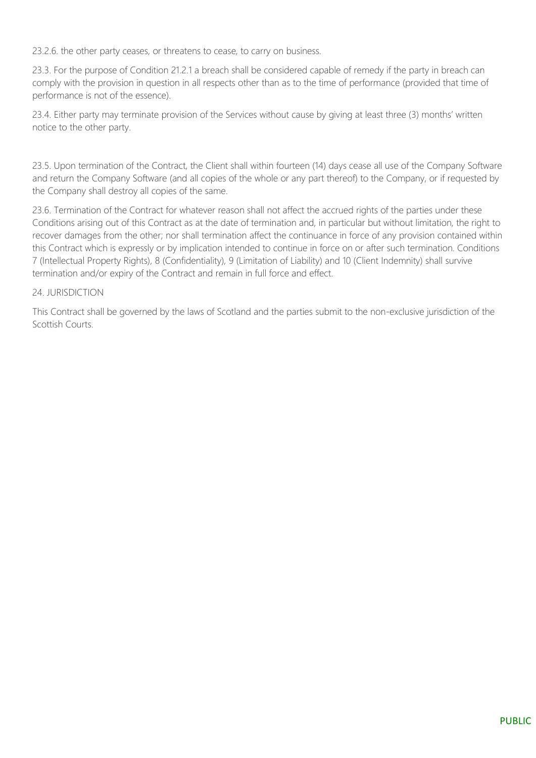23.2.6. the other party ceases, or threatens to cease, to carry on business.

23.3. For the purpose of Condition 21.2.1 a breach shall be considered capable of remedy if the party in breach can comply with the provision in question in all respects other than as to the time of performance (provided that time of performance is not of the essence).

23.4. Either party may terminate provision of the Services without cause by giving at least three (3) months' written notice to the other party.

23.5. Upon termination of the Contract, the Client shall within fourteen (14) days cease all use of the Company Software and return the Company Software (and all copies of the whole or any part thereof) to the Company, or if requested by the Company shall destroy all copies of the same.

23.6. Termination of the Contract for whatever reason shall not affect the accrued rights of the parties under these Conditions arising out of this Contract as at the date of termination and, in particular but without limitation, the right to recover damages from the other; nor shall termination affect the continuance in force of any provision contained within this Contract which is expressly or by implication intended to continue in force on or after such termination. Conditions 7 (Intellectual Property Rights), 8 (Confidentiality), 9 (Limitation of Liability) and 10 (Client Indemnity) shall survive termination and/or expiry of the Contract and remain in full force and effect.

## 24. ILIRISDICTION

This Contract shall be governed by the laws of Scotland and the parties submit to the non-exclusive jurisdiction of the Scottish Courts.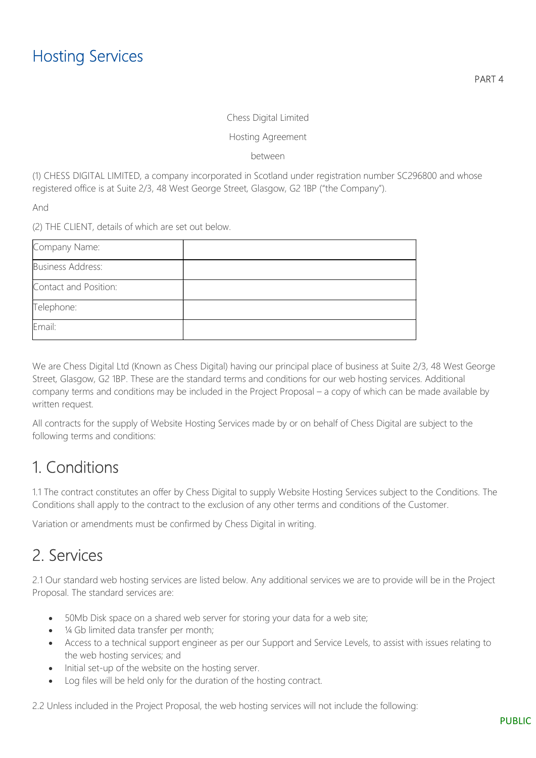#### Chess Digital Limited

#### Hosting Agreement

between

(1) CHESS DIGITAL LIMITED, a company incorporated in Scotland under registration number SC296800 and whose registered office is at Suite 2/3, 48 West George Street, Glasgow, G2 1BP ("the Company").

And

(2) THE CLIENT, details of which are set out below.

| Company Name:            |  |
|--------------------------|--|
| <b>Business Address:</b> |  |
| Contact and Position:    |  |
| Telephone:               |  |
| Email:                   |  |

We are Chess Digital Ltd (Known as Chess Digital) having our principal place of business at Suite 2/3, 48 West George Street, Glasgow, G2 1BP. These are the standard terms and conditions for our web hosting services. Additional company terms and conditions may be included in the Project Proposal – a copy of which can be made available by written request.

All contracts for the supply of Website Hosting Services made by or on behalf of Chess Digital are subject to the following terms and conditions:

## 1. Conditions

1.1 The contract constitutes an offer by Chess Digital to supply Website Hosting Services subject to the Conditions. The Conditions shall apply to the contract to the exclusion of any other terms and conditions of the Customer.

Variation or amendments must be confirmed by Chess Digital in writing.

## 2. Services

2.1 Our standard web hosting services are listed below. Any additional services we are to provide will be in the Project Proposal. The standard services are:

- 50Mb Disk space on a shared web server for storing your data for a web site;
- 1/4 Gb limited data transfer per month;
- Access to a technical support engineer as per our Support and Service Levels, to assist with issues relating to the web hosting services; and
- Initial set-up of the website on the hosting server.
- Log files will be held only for the duration of the hosting contract.

2.2 Unless included in the Project Proposal, the web hosting services will not include the following: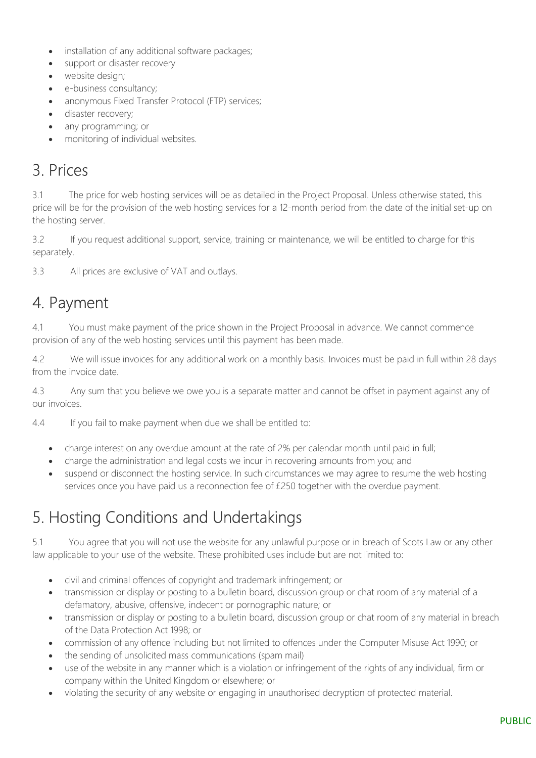- installation of any additional software packages;
- support or disaster recovery
- website desian;
- **e**-business consultancy;
- anonymous Fixed Transfer Protocol (FTP) services;
- disaster recovery;
- any programming; or
- monitoring of individual websites.

## 3. Prices

3.1 The price for web hosting services will be as detailed in the Project Proposal. Unless otherwise stated, this price will be for the provision of the web hosting services for a 12-month period from the date of the initial set-up on the hosting server.

3.2 If you request additional support, service, training or maintenance, we will be entitled to charge for this separately.

3.3 All prices are exclusive of VAT and outlays.

## 4. Payment

4.1 You must make payment of the price shown in the Project Proposal in advance. We cannot commence provision of any of the web hosting services until this payment has been made.

4.2 We will issue invoices for any additional work on a monthly basis. Invoices must be paid in full within 28 days from the invoice date.

4.3 Any sum that you believe we owe you is a separate matter and cannot be offset in payment against any of our invoices.

4.4 If you fail to make payment when due we shall be entitled to:

- charge interest on any overdue amount at the rate of 2% per calendar month until paid in full;
- charge the administration and legal costs we incur in recovering amounts from you; and
- suspend or disconnect the hosting service. In such circumstances we may agree to resume the web hosting services once you have paid us a reconnection fee of £250 together with the overdue payment.

# 5. Hosting Conditions and Undertakings

5.1 You agree that you will not use the website for any unlawful purpose or in breach of Scots Law or any other law applicable to your use of the website. These prohibited uses include but are not limited to:

- civil and criminal offences of copyright and trademark infringement; or
- transmission or display or posting to a bulletin board, discussion group or chat room of any material of a defamatory, abusive, offensive, indecent or pornographic nature; or
- transmission or display or posting to a bulletin board, discussion group or chat room of any material in breach of the Data Protection Act 1998; or
- commission of any offence including but not limited to offences under the Computer Misuse Act 1990; or
- the sending of unsolicited mass communications (spam mail)
- use of the website in any manner which is a violation or infringement of the rights of any individual, firm or company within the United Kingdom or elsewhere; or
- violating the security of any website or engaging in unauthorised decryption of protected material.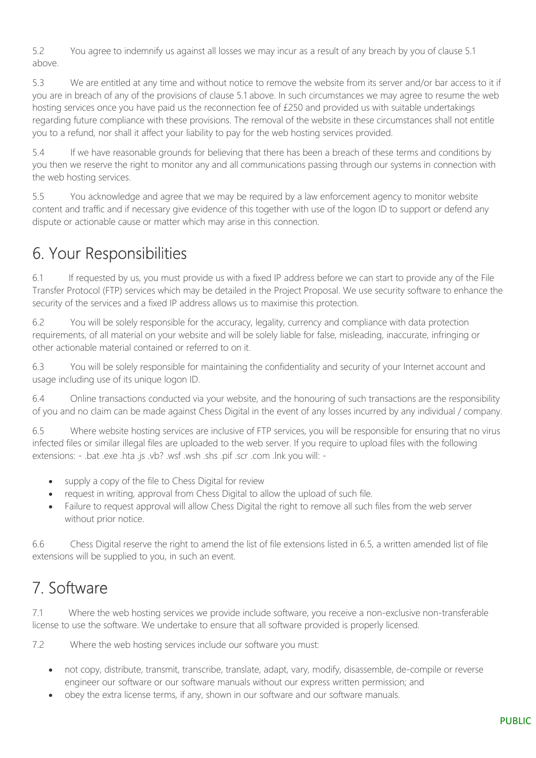5.2 You agree to indemnify us against all losses we may incur as a result of any breach by you of clause 5.1 above.

5.3 We are entitled at any time and without notice to remove the website from its server and/or bar access to it if you are in breach of any of the provisions of clause 5.1 above. In such circumstances we may agree to resume the web hosting services once you have paid us the reconnection fee of £250 and provided us with suitable undertakings regarding future compliance with these provisions. The removal of the website in these circumstances shall not entitle you to a refund, nor shall it affect your liability to pay for the web hosting services provided.

5.4 If we have reasonable grounds for believing that there has been a breach of these terms and conditions by you then we reserve the right to monitor any and all communications passing through our systems in connection with the web hosting services.

5.5 You acknowledge and agree that we may be required by a law enforcement agency to monitor website content and traffic and if necessary give evidence of this together with use of the logon ID to support or defend any dispute or actionable cause or matter which may arise in this connection.

# 6. Your Responsibilities

6.1 If requested by us, you must provide us with a fixed IP address before we can start to provide any of the File Transfer Protocol (FTP) services which may be detailed in the Project Proposal. We use security software to enhance the security of the services and a fixed IP address allows us to maximise this protection.

6.2 You will be solely responsible for the accuracy, legality, currency and compliance with data protection requirements, of all material on your website and will be solely liable for false, misleading, inaccurate, infringing or other actionable material contained or referred to on it.

6.3 You will be solely responsible for maintaining the confidentiality and security of your Internet account and usage including use of its unique logon ID.

6.4 Online transactions conducted via your website, and the honouring of such transactions are the responsibility of you and no claim can be made against Chess Digital in the event of any losses incurred by any individual / company.

6.5 Where website hosting services are inclusive of FTP services, you will be responsible for ensuring that no virus infected files or similar illegal files are uploaded to the web server. If you require to upload files with the following extensions: - .bat .exe .hta .js .vb? .wsf .wsh .shs .pif .scr .com .lnk you will: -

- supply a copy of the file to Chess Digital for review
- request in writing, approval from Chess Digital to allow the upload of such file.
- Failure to request approval will allow Chess Digital the right to remove all such files from the web server without prior notice.

6.6 Chess Digital reserve the right to amend the list of file extensions listed in 6.5, a written amended list of file extensions will be supplied to you, in such an event.

# 7. Software

7.1 Where the web hosting services we provide include software, you receive a non-exclusive non-transferable license to use the software. We undertake to ensure that all software provided is properly licensed.

7.2 Where the web hosting services include our software you must:

- not copy, distribute, transmit, transcribe, translate, adapt, vary, modify, disassemble, de-compile or reverse engineer our software or our software manuals without our express written permission; and
- obey the extra license terms, if any, shown in our software and our software manuals.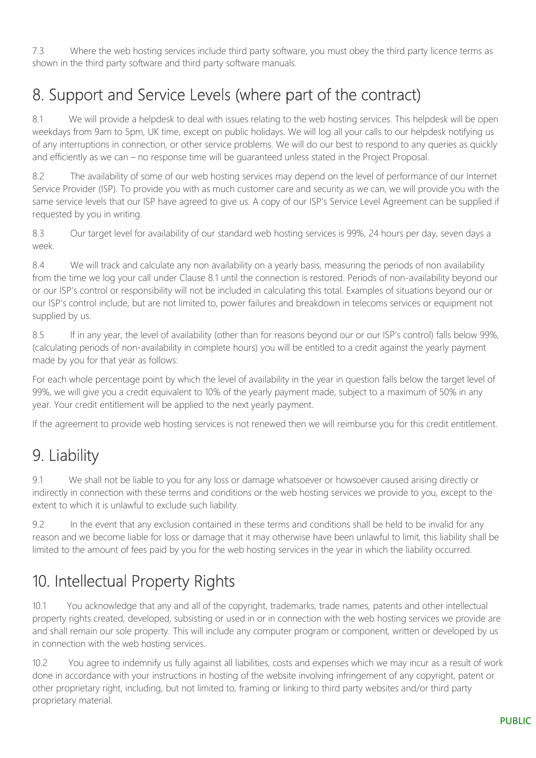7.3 Where the web hosting services include third party software, you must obey the third party licence terms as shown in the third party software and third party software manuals.

# 8. Support and Service Levels (where part of the contract)

8.1 We will provide a helpdesk to deal with issues relating to the web hosting services. This helpdesk will be open weekdays from 9am to 5pm, UK time, except on public holidays. We will log all your calls to our helpdesk notifying us of any interruptions in connection, or other service problems. We will do our best to respond to any queries as quickly and efficiently as we can – no response time will be guaranteed unless stated in the Project Proposal.

8.2 The availability of some of our web hosting services may depend on the level of performance of our Internet Service Provider (ISP). To provide you with as much customer care and security as we can, we will provide you with the same service levels that our ISP have agreed to give us. A copy of our ISP's Service Level Agreement can be supplied if requested by you in writing.

8.3 Our target level for availability of our standard web hosting services is 99%, 24 hours per day, seven days a week.

8.4 We will track and calculate any non availability on a yearly basis, measuring the periods of non availability from the time we log your call under Clause 8.1 until the connection is restored. Periods of non-availability beyond our or our ISP's control or responsibility will not be included in calculating this total. Examples of situations beyond our or our ISP's control include, but are not limited to, power failures and breakdown in telecoms services or equipment not supplied by us.

8.5 If in any year, the level of availability (other than for reasons beyond our or our ISP's control) falls below 99%, (calculating periods of non-availability in complete hours) you will be entitled to a credit against the yearly payment made by you for that year as follows:

For each whole percentage point by which the level of availability in the year in question falls below the target level of 99%, we will give you a credit equivalent to 10% of the yearly payment made, subject to a maximum of 50% in any year. Your credit entitlement will be applied to the next yearly payment.

If the agreement to provide web hosting services is not renewed then we will reimburse you for this credit entitlement.

# 9. Liability

9.1 We shall not be liable to you for any loss or damage whatsoever or howsoever caused arising directly or indirectly in connection with these terms and conditions or the web hosting services we provide to you, except to the extent to which it is unlawful to exclude such liability.

9.2 In the event that any exclusion contained in these terms and conditions shall be held to be invalid for any reason and we become liable for loss or damage that it may otherwise have been unlawful to limit, this liability shall be limited to the amount of fees paid by you for the web hosting services in the year in which the liability occurred.

# 10. Intellectual Property Rights

10.1 You acknowledge that any and all of the copyright, trademarks, trade names, patents and other intellectual property rights created, developed, subsisting or used in or in connection with the web hosting services we provide are and shall remain our sole property. This will include any computer program or component, written or developed by us in connection with the web hosting services.

10.2 You agree to indemnify us fully against all liabilities, costs and expenses which we may incur as a result of work done in accordance with your instructions in hosting of the website involving infringement of any copyright, patent or other proprietary right, including, but not limited to, framing or linking to third party websites and/or third party proprietary material.